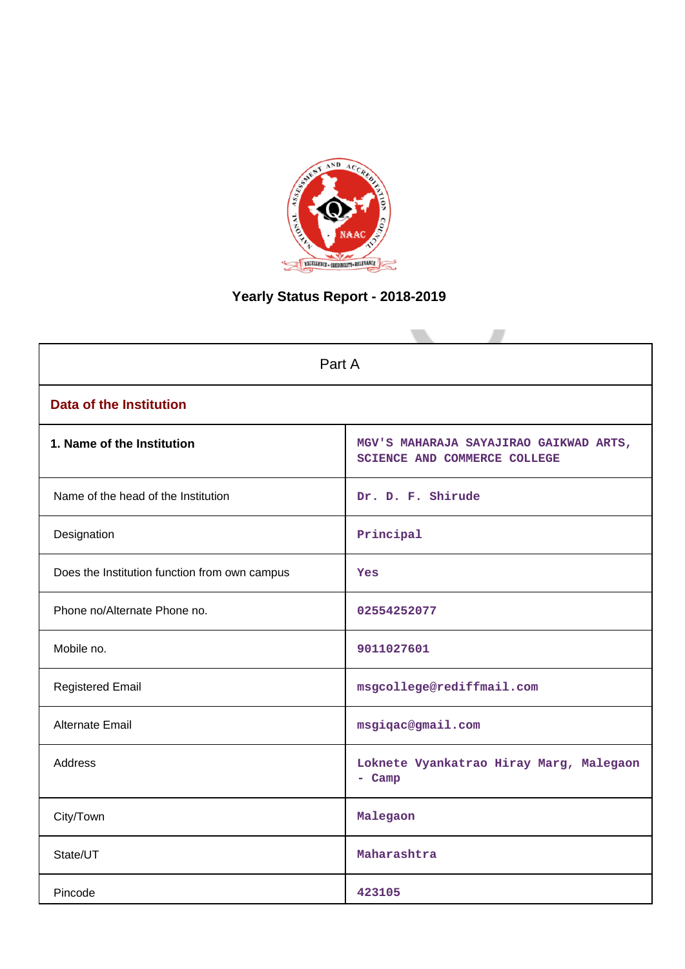

# **Yearly Status Report - 2018-2019**

| Part A                                        |                                                                               |  |  |  |  |  |
|-----------------------------------------------|-------------------------------------------------------------------------------|--|--|--|--|--|
|                                               |                                                                               |  |  |  |  |  |
| <b>Data of the Institution</b>                |                                                                               |  |  |  |  |  |
| 1. Name of the Institution                    | MGV'S MAHARAJA SAYAJIRAO GAIKWAD ARTS,<br><b>SCIENCE AND COMMERCE COLLEGE</b> |  |  |  |  |  |
| Name of the head of the Institution           | Dr. D. F. Shirude                                                             |  |  |  |  |  |
| Designation                                   | Principal                                                                     |  |  |  |  |  |
| Does the Institution function from own campus | <b>Yes</b>                                                                    |  |  |  |  |  |
| Phone no/Alternate Phone no.                  | 02554252077                                                                   |  |  |  |  |  |
| Mobile no.                                    | 9011027601                                                                    |  |  |  |  |  |
| <b>Registered Email</b>                       | msgcollege@rediffmail.com                                                     |  |  |  |  |  |
| Alternate Email                               | msgiqac@gmail.com                                                             |  |  |  |  |  |
| <b>Address</b>                                | Loknete Vyankatrao Hiray Marg, Malegaon<br>- Camp                             |  |  |  |  |  |
| City/Town                                     | Malegaon                                                                      |  |  |  |  |  |
| State/UT                                      | Maharashtra                                                                   |  |  |  |  |  |
| Pincode                                       | 423105                                                                        |  |  |  |  |  |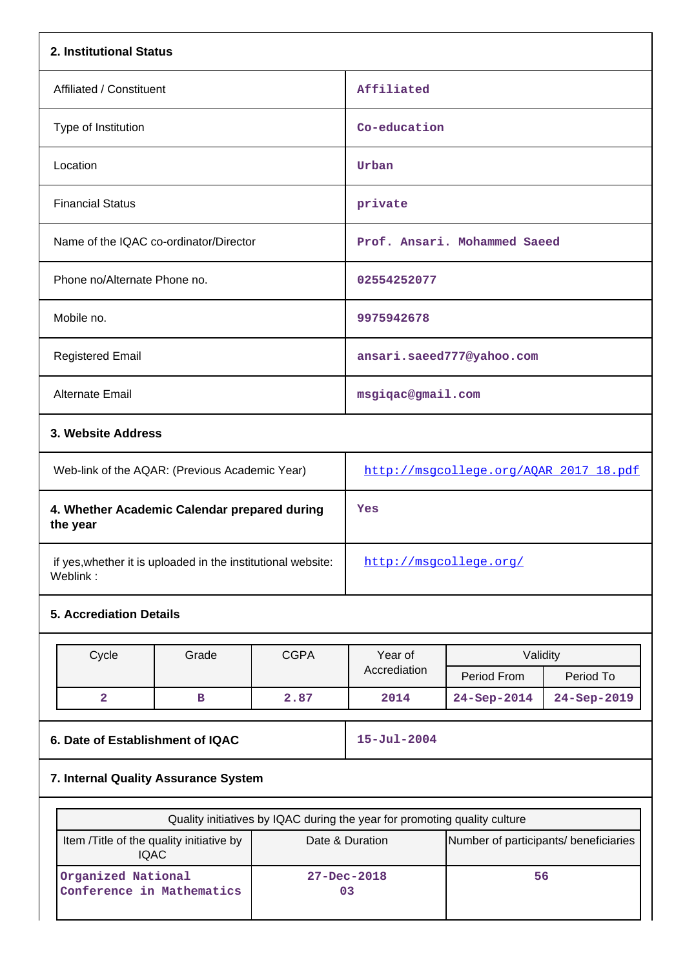| 2. Institutional Status                                                   |                                                              |             |                                        |                                       |             |  |  |  |  |
|---------------------------------------------------------------------------|--------------------------------------------------------------|-------------|----------------------------------------|---------------------------------------|-------------|--|--|--|--|
| Affiliated / Constituent                                                  |                                                              |             | Affiliated                             |                                       |             |  |  |  |  |
| Type of Institution                                                       |                                                              |             | Co-education                           |                                       |             |  |  |  |  |
| Location                                                                  |                                                              |             | Urban                                  |                                       |             |  |  |  |  |
| <b>Financial Status</b>                                                   |                                                              |             | private                                |                                       |             |  |  |  |  |
|                                                                           | Name of the IQAC co-ordinator/Director                       |             |                                        | Prof. Ansari. Mohammed Saeed          |             |  |  |  |  |
| Phone no/Alternate Phone no.                                              |                                                              |             | 02554252077                            |                                       |             |  |  |  |  |
| Mobile no.                                                                |                                                              |             | 9975942678                             |                                       |             |  |  |  |  |
| <b>Registered Email</b>                                                   |                                                              |             |                                        | ansari.saeed777@yahoo.com             |             |  |  |  |  |
| <b>Alternate Email</b>                                                    |                                                              |             | msgiqac@gmail.com                      |                                       |             |  |  |  |  |
|                                                                           | 3. Website Address                                           |             |                                        |                                       |             |  |  |  |  |
|                                                                           | Web-link of the AQAR: (Previous Academic Year)               |             | http://msgcollege.org/AQAR_2017_18.pdf |                                       |             |  |  |  |  |
| 4. Whether Academic Calendar prepared during<br>the year                  |                                                              |             | Yes                                    |                                       |             |  |  |  |  |
| Weblink:                                                                  | if yes, whether it is uploaded in the institutional website: |             | http://msqcollege.org/                 |                                       |             |  |  |  |  |
| <b>5. Accrediation Details</b>                                            |                                                              |             |                                        |                                       |             |  |  |  |  |
|                                                                           |                                                              |             |                                        | Validity                              |             |  |  |  |  |
| Cycle                                                                     | Grade                                                        | <b>CGPA</b> | Year of<br>Accrediation                |                                       |             |  |  |  |  |
|                                                                           |                                                              |             |                                        | Period From                           | Period To   |  |  |  |  |
| $\overline{\mathbf{2}}$                                                   | $\, {\bf B}$                                                 | 2.87        | 2014                                   | 24-Sep-2014                           | 24-Sep-2019 |  |  |  |  |
| 6. Date of Establishment of IQAC                                          |                                                              |             | $15 - Jul - 2004$                      |                                       |             |  |  |  |  |
| 7. Internal Quality Assurance System                                      |                                                              |             |                                        |                                       |             |  |  |  |  |
| Quality initiatives by IQAC during the year for promoting quality culture |                                                              |             |                                        |                                       |             |  |  |  |  |
|                                                                           | Item /Title of the quality initiative by<br><b>IQAC</b>      |             | Date & Duration                        | Number of participants/ beneficiaries |             |  |  |  |  |
| Organized National<br>Conference in Mathematics                           |                                                              |             | $27 - Dec - 2018$<br>03                | 56                                    |             |  |  |  |  |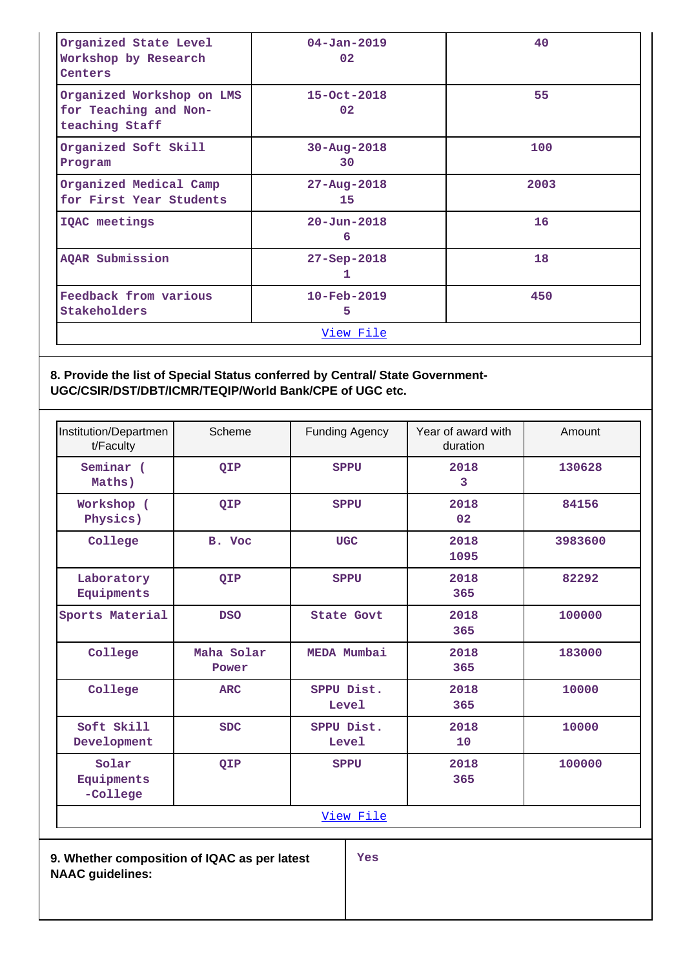| Organized State Level<br>Workshop by Research<br>Centers             | $04 - Jan - 2019$<br>02 <sub>2</sub> | 40   |
|----------------------------------------------------------------------|--------------------------------------|------|
| Organized Workshop on LMS<br>for Teaching and Non-<br>teaching Staff | $15 - Oct - 2018$<br>02              | 55   |
| Organized Soft Skill<br>Program                                      | $30 - Aug - 2018$<br>30              | 100  |
| Organized Medical Camp<br>for First Year Students                    | $27 - Aug - 2018$<br>15              | 2003 |
| IQAC meetings                                                        | $20 - Jun - 2018$<br>6               | 16   |
| AQAR Submission                                                      | $27 - Sep - 2018$<br>1               | 18   |
| Feedback from various<br>Stakeholders                                | $10 - \text{Feb} - 2019$<br>5        | 450  |
|                                                                      | <u>View File</u>                     |      |

## **8. Provide the list of Special Status conferred by Central/ State Government-UGC/CSIR/DST/DBT/ICMR/TEQIP/World Bank/CPE of UGC etc.**

| Institution/Departmen<br>t/Faculty | Scheme              | <b>Funding Agency</b> | Year of award with<br>duration | Amount  |  |  |
|------------------------------------|---------------------|-----------------------|--------------------------------|---------|--|--|
| Seminar (<br>Maths)                | QIP                 | <b>SPPU</b>           | 2018<br>3                      | 130628  |  |  |
| Workshop (<br>Physics)             | QIP                 | <b>SPPU</b>           | 2018<br>02                     | 84156   |  |  |
| College                            | B. Voc              | <b>UGC</b>            | 2018<br>1095                   | 3983600 |  |  |
| Laboratory<br>Equipments           | QIP                 | <b>SPPU</b>           | 2018<br>365                    | 82292   |  |  |
| Sports Material                    | <b>DSO</b>          | <b>State Govt</b>     | 2018<br>365                    | 100000  |  |  |
| College                            | Maha Solar<br>Power | MEDA Mumbai           | 2018<br>365                    | 183000  |  |  |
| College                            | <b>ARC</b>          | SPPU Dist.<br>Level   | 2018<br>365                    | 10000   |  |  |
| Soft Skill<br>Development          | <b>SDC</b>          | SPPU Dist.<br>Level   | 2018<br>10                     | 10000   |  |  |
| Solar<br>Equipments<br>-College    | QIP                 | <b>SPPU</b>           | 2018<br>365                    | 100000  |  |  |
| View File                          |                     |                       |                                |         |  |  |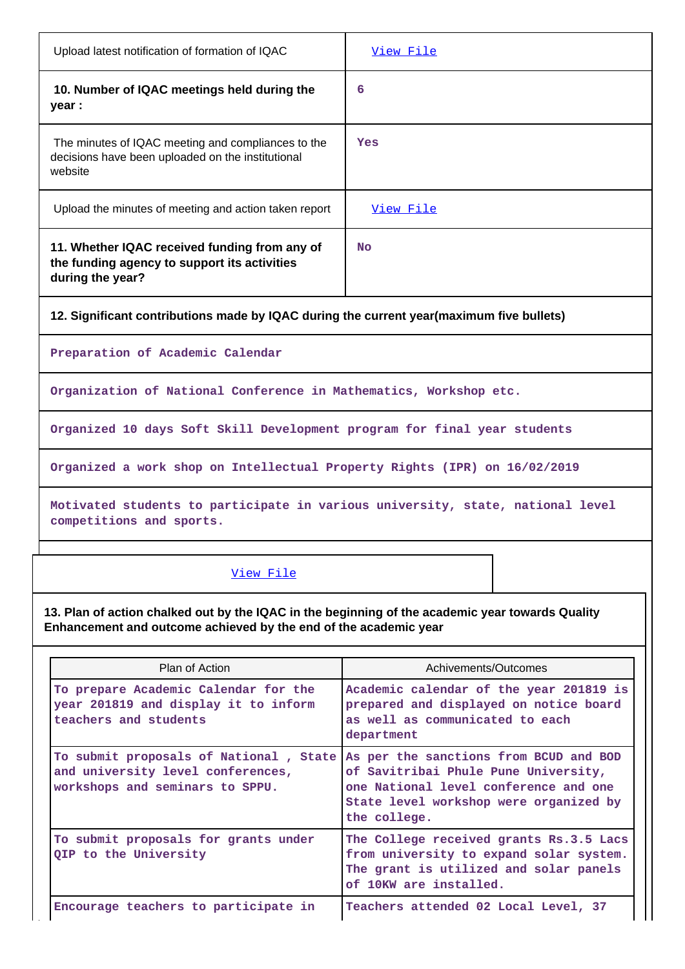| Upload latest notification of formation of IQAC                                                                                                                      | View File                                                                                                                               |  |  |  |  |  |  |  |
|----------------------------------------------------------------------------------------------------------------------------------------------------------------------|-----------------------------------------------------------------------------------------------------------------------------------------|--|--|--|--|--|--|--|
| 10. Number of IQAC meetings held during the<br>year :                                                                                                                | 6                                                                                                                                       |  |  |  |  |  |  |  |
| The minutes of IQAC meeting and compliances to the<br>decisions have been uploaded on the institutional<br>website                                                   | Yes                                                                                                                                     |  |  |  |  |  |  |  |
| Upload the minutes of meeting and action taken report                                                                                                                | View File                                                                                                                               |  |  |  |  |  |  |  |
| 11. Whether IQAC received funding from any of<br>the funding agency to support its activities<br>during the year?                                                    | <b>No</b>                                                                                                                               |  |  |  |  |  |  |  |
| 12. Significant contributions made by IQAC during the current year(maximum five bullets)                                                                             |                                                                                                                                         |  |  |  |  |  |  |  |
| Preparation of Academic Calendar                                                                                                                                     |                                                                                                                                         |  |  |  |  |  |  |  |
| Organization of National Conference in Mathematics, Workshop etc.                                                                                                    |                                                                                                                                         |  |  |  |  |  |  |  |
| Organized 10 days Soft Skill Development program for final year students                                                                                             |                                                                                                                                         |  |  |  |  |  |  |  |
| Organized a work shop on Intellectual Property Rights (IPR) on 16/02/2019                                                                                            |                                                                                                                                         |  |  |  |  |  |  |  |
| Motivated students to participate in various university, state, national level<br>competitions and sports.                                                           |                                                                                                                                         |  |  |  |  |  |  |  |
| View File                                                                                                                                                            |                                                                                                                                         |  |  |  |  |  |  |  |
| 13. Plan of action chalked out by the IQAC in the beginning of the academic year towards Quality<br>Enhancement and outcome achieved by the end of the academic year |                                                                                                                                         |  |  |  |  |  |  |  |
| Plan of Action                                                                                                                                                       | Achivements/Outcomes                                                                                                                    |  |  |  |  |  |  |  |
| To prepare Academic Calendar for the<br>year 201819 and display it to inform<br>teachers and students                                                                | Academic calendar of the year 201819 is<br>prepared and displayed on notice board<br>as well as communicated to each<br>department      |  |  |  |  |  |  |  |
| To submit proposals of National, State As per the sanctions from BCUD and BOD<br>and university level conferences,<br>workshops and seminars to SPPU.                | of Savitribai Phule Pune University,<br>one National level conference and one<br>State level workshop were organized by<br>the college. |  |  |  |  |  |  |  |

**To submit proposals for grants under QIP to the University The College received grants Rs.3.5 Lacs from university to expand solar system. The grant is utilized and solar panels of 10KW are installed.**

Encourage teachers to participate in **Teachers attended 02 Local Level**, 37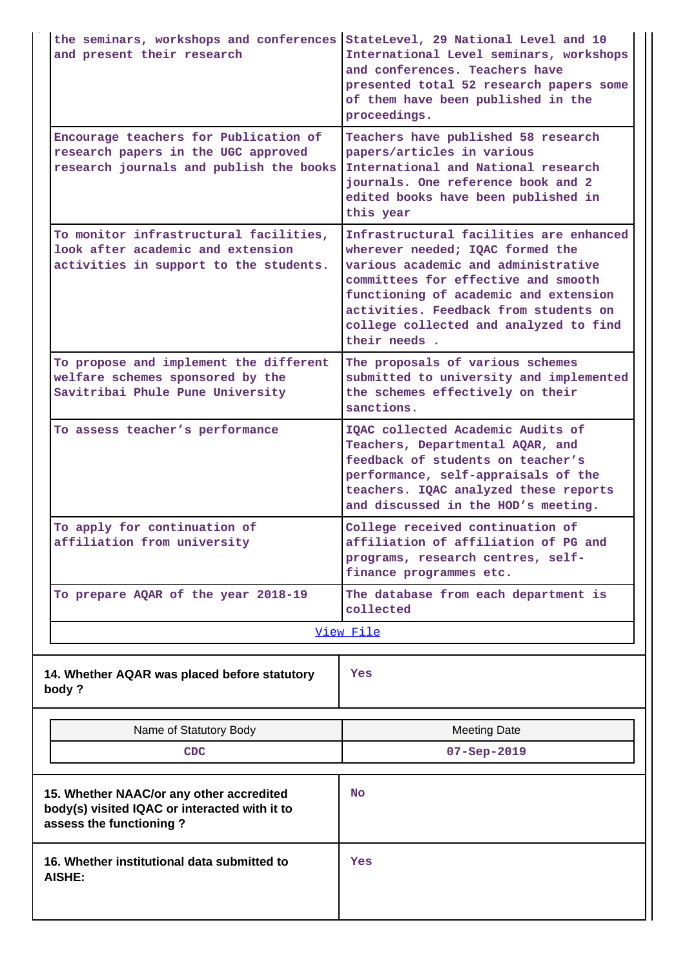| the seminars, workshops and conferences StateLevel, 29 National Level and 10<br>and present their research              | International Level seminars, workshops<br>and conferences. Teachers have<br>presented total 52 research papers some<br>of them have been published in the<br>proceedings.                                                                                                                            |
|-------------------------------------------------------------------------------------------------------------------------|-------------------------------------------------------------------------------------------------------------------------------------------------------------------------------------------------------------------------------------------------------------------------------------------------------|
| Encourage teachers for Publication of<br>research papers in the UGC approved<br>research journals and publish the books | Teachers have published 58 research<br>papers/articles in various<br>International and National research<br>journals. One reference book and 2<br>edited books have been published in<br>this year                                                                                                    |
| To monitor infrastructural facilities,<br>look after academic and extension<br>activities in support to the students.   | Infrastructural facilities are enhanced<br>wherever needed; IQAC formed the<br>various academic and administrative<br>committees for effective and smooth<br>functioning of academic and extension<br>activities. Feedback from students on<br>college collected and analyzed to find<br>their needs. |
| To propose and implement the different<br>welfare schemes sponsored by the<br>Savitribai Phule Pune University          | The proposals of various schemes<br>submitted to university and implemented<br>the schemes effectively on their<br>sanctions.                                                                                                                                                                         |
| To assess teacher's performance                                                                                         | IQAC collected Academic Audits of<br>Teachers, Departmental AQAR, and<br>feedback of students on teacher's<br>performance, self-appraisals of the<br>teachers. IQAC analyzed these reports<br>and discussed in the HOD's meeting.                                                                     |
| To apply for continuation of<br>affiliation from university                                                             | College received continuation of<br>affiliation of affiliation of PG and<br>programs, research centres, self-<br>finance programmes etc.                                                                                                                                                              |
| To prepare AQAR of the year 2018-19                                                                                     | The database from each department is<br>collected                                                                                                                                                                                                                                                     |
|                                                                                                                         | View File                                                                                                                                                                                                                                                                                             |
| 14. Whether AQAR was placed before statutory<br>body?                                                                   | Yes                                                                                                                                                                                                                                                                                                   |
| Name of Statutory Body                                                                                                  | <b>Meeting Date</b>                                                                                                                                                                                                                                                                                   |
| <b>CDC</b>                                                                                                              | $07 - Sep - 2019$                                                                                                                                                                                                                                                                                     |
| 15. Whether NAAC/or any other accredited<br>body(s) visited IQAC or interacted with it to<br>assess the functioning?    | No                                                                                                                                                                                                                                                                                                    |
| 16. Whether institutional data submitted to<br><b>AISHE:</b>                                                            | Yes                                                                                                                                                                                                                                                                                                   |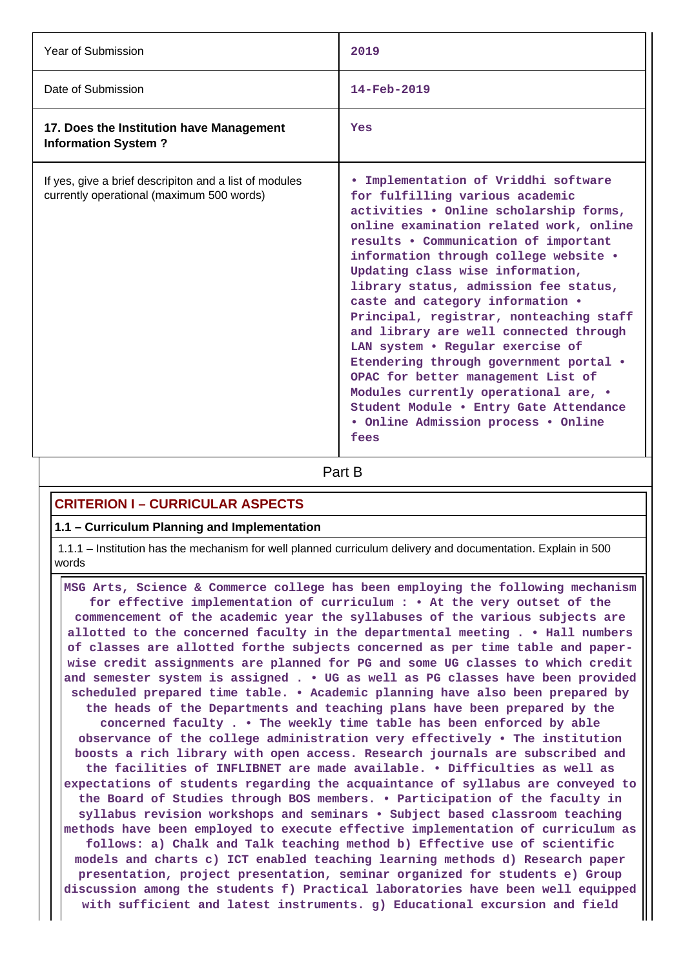| Year of Submission                                                                                  | 2019                                                                                                                                                                                                                                                                                                                                                                                                                                                                                                                                                                                                                                                                                                     |
|-----------------------------------------------------------------------------------------------------|----------------------------------------------------------------------------------------------------------------------------------------------------------------------------------------------------------------------------------------------------------------------------------------------------------------------------------------------------------------------------------------------------------------------------------------------------------------------------------------------------------------------------------------------------------------------------------------------------------------------------------------------------------------------------------------------------------|
| Date of Submission                                                                                  | 14-Feb-2019                                                                                                                                                                                                                                                                                                                                                                                                                                                                                                                                                                                                                                                                                              |
| 17. Does the Institution have Management<br><b>Information System?</b>                              | Yes                                                                                                                                                                                                                                                                                                                                                                                                                                                                                                                                                                                                                                                                                                      |
| If yes, give a brief descripiton and a list of modules<br>currently operational (maximum 500 words) | . Implementation of Vriddhi software<br>for fulfilling various academic<br>activities . Online scholarship forms,<br>online examination related work, online<br>results . Communication of important<br>information through college website .<br>Updating class wise information,<br>library status, admission fee status,<br>caste and category information .<br>Principal, registrar, nonteaching staff<br>and library are well connected through<br>LAN system . Regular exercise of<br>Etendering through government portal .<br>OPAC for better management List of<br>Modules currently operational are, •<br>Student Module . Entry Gate Attendance<br>• Online Admission process • Online<br>fees |

**Part B** 

## **CRITERION I – CURRICULAR ASPECTS**

### **1.1 – Curriculum Planning and Implementation**

 1.1.1 – Institution has the mechanism for well planned curriculum delivery and documentation. Explain in 500 words

 **MSG Arts, Science & Commerce college has been employing the following mechanism for effective implementation of curriculum : • At the very outset of the commencement of the academic year the syllabuses of the various subjects are allotted to the concerned faculty in the departmental meeting . • Hall numbers of classes are allotted forthe subjects concerned as per time table and paperwise credit assignments are planned for PG and some UG classes to which credit and semester system is assigned . • UG as well as PG classes have been provided scheduled prepared time table. • Academic planning have also been prepared by the heads of the Departments and teaching plans have been prepared by the concerned faculty . • The weekly time table has been enforced by able observance of the college administration very effectively • The institution boosts a rich library with open access. Research journals are subscribed and the facilities of INFLIBNET are made available. • Difficulties as well as expectations of students regarding the acquaintance of syllabus are conveyed to the Board of Studies through BOS members. • Participation of the faculty in syllabus revision workshops and seminars • Subject based classroom teaching methods have been employed to execute effective implementation of curriculum as follows: a) Chalk and Talk teaching method b) Effective use of scientific models and charts c) ICT enabled teaching learning methods d) Research paper presentation, project presentation, seminar organized for students e) Group discussion among the students f) Practical laboratories have been well equipped with sufficient and latest instruments. g) Educational excursion and field**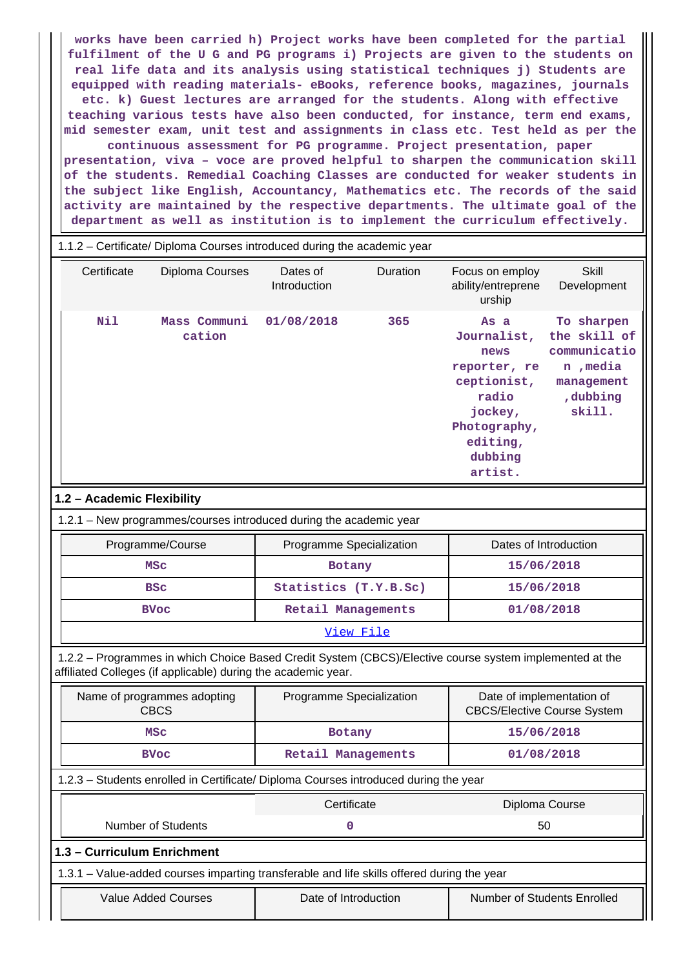**works have been carried h) Project works have been completed for the partial fulfilment of the U G and PG programs i) Projects are given to the students on real life data and its analysis using statistical techniques j) Students are equipped with reading materials- eBooks, reference books, magazines, journals etc. k) Guest lectures are arranged for the students. Along with effective teaching various tests have also been conducted, for instance, term end exams, mid semester exam, unit test and assignments in class etc. Test held as per the continuous assessment for PG programme. Project presentation, paper presentation, viva – voce are proved helpful to sharpen the communication skill of the students. Remedial Coaching Classes are conducted for weaker students in the subject like English, Accountancy, Mathematics etc. The records of the said activity are maintained by the respective departments. The ultimate goal of the department as well as institution is to implement the curriculum effectively.**

|                            |                             | 1.1.2 - Certificate/ Diploma Courses introduced during the academic year                                                                                                 |           |                                                                                                                                  |                                                                                             |  |
|----------------------------|-----------------------------|--------------------------------------------------------------------------------------------------------------------------------------------------------------------------|-----------|----------------------------------------------------------------------------------------------------------------------------------|---------------------------------------------------------------------------------------------|--|
| Certificate                | Diploma Courses             | Dates of<br>Introduction                                                                                                                                                 | Duration  | Focus on employ<br>ability/entreprene<br>urship                                                                                  | <b>Skill</b><br>Development                                                                 |  |
| Nil                        | Mass Communi<br>cation      | 01/08/2018                                                                                                                                                               | 365       | As a<br>Journalist,<br>news<br>reporter, re<br>ceptionist,<br>radio<br>jockey,<br>Photography,<br>editing,<br>dubbing<br>artist. | To sharpen<br>the skill of<br>communicatio<br>n , media<br>management<br>,dubbing<br>skill. |  |
| 1.2 - Academic Flexibility |                             |                                                                                                                                                                          |           |                                                                                                                                  |                                                                                             |  |
|                            |                             | 1.2.1 - New programmes/courses introduced during the academic year                                                                                                       |           |                                                                                                                                  |                                                                                             |  |
| Programme/Course           |                             | Programme Specialization                                                                                                                                                 |           | Dates of Introduction                                                                                                            |                                                                                             |  |
| <b>MSC</b>                 |                             | Botany                                                                                                                                                                   |           | 15/06/2018                                                                                                                       |                                                                                             |  |
| <b>BSC</b>                 |                             | Statistics (T.Y.B.Sc)                                                                                                                                                    |           | 15/06/2018                                                                                                                       |                                                                                             |  |
| <b>BVoc</b>                |                             | Retail Managements                                                                                                                                                       |           |                                                                                                                                  | 01/08/2018                                                                                  |  |
|                            |                             |                                                                                                                                                                          | View File |                                                                                                                                  |                                                                                             |  |
|                            |                             | 1.2.2 - Programmes in which Choice Based Credit System (CBCS)/Elective course system implemented at the<br>affiliated Colleges (if applicable) during the academic year. |           |                                                                                                                                  |                                                                                             |  |
| <b>CBCS</b>                | Name of programmes adopting | Programme Specialization                                                                                                                                                 |           | Date of implementation of<br><b>CBCS/Elective Course System</b>                                                                  |                                                                                             |  |
| <b>MSC</b>                 |                             | <b>Botany</b>                                                                                                                                                            |           | 15/06/2018                                                                                                                       |                                                                                             |  |
| <b>BVoc</b>                |                             | Retail Managements                                                                                                                                                       |           | 01/08/2018                                                                                                                       |                                                                                             |  |
|                            |                             | 1.2.3 - Students enrolled in Certificate/ Diploma Courses introduced during the year                                                                                     |           |                                                                                                                                  |                                                                                             |  |
|                            |                             | Certificate                                                                                                                                                              |           |                                                                                                                                  | Diploma Course                                                                              |  |
| <b>Number of Students</b>  |                             | 0                                                                                                                                                                        |           | 50                                                                                                                               |                                                                                             |  |
|                            | 1.3 - Curriculum Enrichment |                                                                                                                                                                          |           |                                                                                                                                  |                                                                                             |  |
|                            |                             | 1.3.1 – Value-added courses imparting transferable and life skills offered during the year                                                                               |           |                                                                                                                                  |                                                                                             |  |
| <b>Value Added Courses</b> |                             | Date of Introduction                                                                                                                                                     |           |                                                                                                                                  | Number of Students Enrolled                                                                 |  |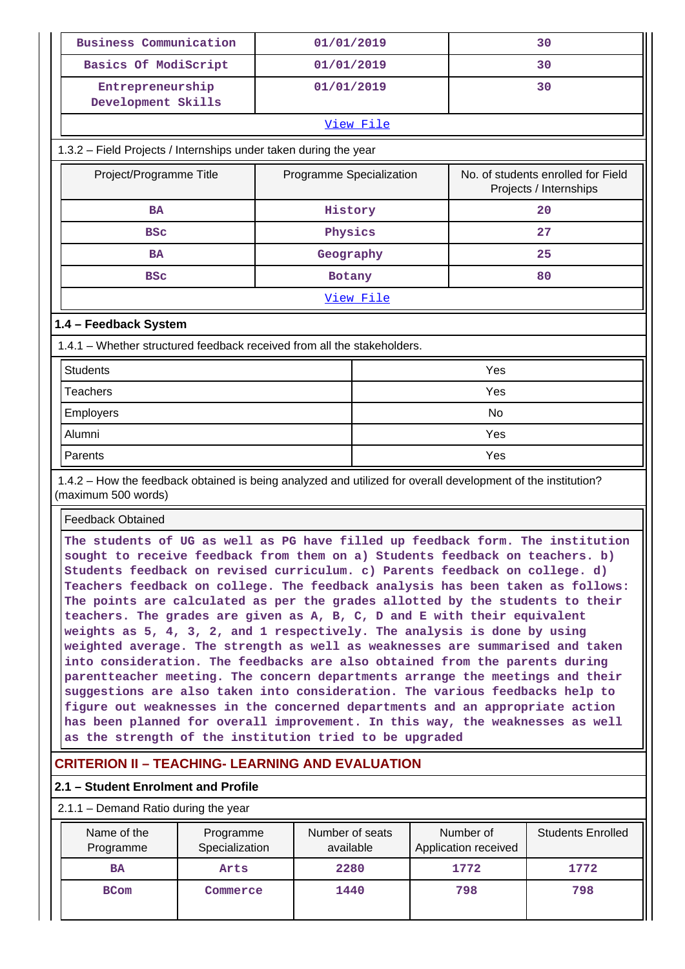|                                     | <b>Business Communication</b>                                                                                                                                                                                                                                                                                                                                                                                                                                                                                                                                                                                                                                                                                                                                                                                                                                                                                                                                                                                                                                                                                                         |                                      | 01/01/2019                   |           |                                   | 30                                                           |  |  |  |  |  |
|-------------------------------------|---------------------------------------------------------------------------------------------------------------------------------------------------------------------------------------------------------------------------------------------------------------------------------------------------------------------------------------------------------------------------------------------------------------------------------------------------------------------------------------------------------------------------------------------------------------------------------------------------------------------------------------------------------------------------------------------------------------------------------------------------------------------------------------------------------------------------------------------------------------------------------------------------------------------------------------------------------------------------------------------------------------------------------------------------------------------------------------------------------------------------------------|--------------------------------------|------------------------------|-----------|-----------------------------------|--------------------------------------------------------------|--|--|--|--|--|
|                                     | Basics Of ModiScript                                                                                                                                                                                                                                                                                                                                                                                                                                                                                                                                                                                                                                                                                                                                                                                                                                                                                                                                                                                                                                                                                                                  |                                      | 01/01/2019                   |           |                                   | 30                                                           |  |  |  |  |  |
|                                     | Entrepreneurship<br>01/01/2019<br>Development Skills                                                                                                                                                                                                                                                                                                                                                                                                                                                                                                                                                                                                                                                                                                                                                                                                                                                                                                                                                                                                                                                                                  |                                      |                              |           |                                   | 30                                                           |  |  |  |  |  |
|                                     |                                                                                                                                                                                                                                                                                                                                                                                                                                                                                                                                                                                                                                                                                                                                                                                                                                                                                                                                                                                                                                                                                                                                       |                                      |                              | View File |                                   |                                                              |  |  |  |  |  |
|                                     | 1.3.2 - Field Projects / Internships under taken during the year                                                                                                                                                                                                                                                                                                                                                                                                                                                                                                                                                                                                                                                                                                                                                                                                                                                                                                                                                                                                                                                                      |                                      |                              |           |                                   |                                                              |  |  |  |  |  |
|                                     | Project/Programme Title                                                                                                                                                                                                                                                                                                                                                                                                                                                                                                                                                                                                                                                                                                                                                                                                                                                                                                                                                                                                                                                                                                               |                                      | Programme Specialization     |           |                                   | No. of students enrolled for Field<br>Projects / Internships |  |  |  |  |  |
|                                     | <b>BA</b>                                                                                                                                                                                                                                                                                                                                                                                                                                                                                                                                                                                                                                                                                                                                                                                                                                                                                                                                                                                                                                                                                                                             |                                      | History                      |           |                                   | 20                                                           |  |  |  |  |  |
|                                     | <b>BSC</b>                                                                                                                                                                                                                                                                                                                                                                                                                                                                                                                                                                                                                                                                                                                                                                                                                                                                                                                                                                                                                                                                                                                            |                                      | Physics                      |           |                                   | 27                                                           |  |  |  |  |  |
|                                     | <b>BA</b>                                                                                                                                                                                                                                                                                                                                                                                                                                                                                                                                                                                                                                                                                                                                                                                                                                                                                                                                                                                                                                                                                                                             |                                      | Geography                    |           |                                   | 25                                                           |  |  |  |  |  |
|                                     | <b>BSC</b>                                                                                                                                                                                                                                                                                                                                                                                                                                                                                                                                                                                                                                                                                                                                                                                                                                                                                                                                                                                                                                                                                                                            |                                      | Botany                       |           |                                   | 80                                                           |  |  |  |  |  |
|                                     |                                                                                                                                                                                                                                                                                                                                                                                                                                                                                                                                                                                                                                                                                                                                                                                                                                                                                                                                                                                                                                                                                                                                       |                                      |                              | View File |                                   |                                                              |  |  |  |  |  |
|                                     | 1.4 - Feedback System                                                                                                                                                                                                                                                                                                                                                                                                                                                                                                                                                                                                                                                                                                                                                                                                                                                                                                                                                                                                                                                                                                                 |                                      |                              |           |                                   |                                                              |  |  |  |  |  |
|                                     | 1.4.1 – Whether structured feedback received from all the stakeholders.                                                                                                                                                                                                                                                                                                                                                                                                                                                                                                                                                                                                                                                                                                                                                                                                                                                                                                                                                                                                                                                               |                                      |                              |           |                                   |                                                              |  |  |  |  |  |
|                                     | <b>Students</b>                                                                                                                                                                                                                                                                                                                                                                                                                                                                                                                                                                                                                                                                                                                                                                                                                                                                                                                                                                                                                                                                                                                       |                                      |                              |           | Yes                               |                                                              |  |  |  |  |  |
|                                     | <b>Teachers</b>                                                                                                                                                                                                                                                                                                                                                                                                                                                                                                                                                                                                                                                                                                                                                                                                                                                                                                                                                                                                                                                                                                                       |                                      |                              |           | Yes                               |                                                              |  |  |  |  |  |
|                                     | Employers                                                                                                                                                                                                                                                                                                                                                                                                                                                                                                                                                                                                                                                                                                                                                                                                                                                                                                                                                                                                                                                                                                                             |                                      |                              |           | <b>No</b>                         |                                                              |  |  |  |  |  |
|                                     | Alumni                                                                                                                                                                                                                                                                                                                                                                                                                                                                                                                                                                                                                                                                                                                                                                                                                                                                                                                                                                                                                                                                                                                                |                                      |                              | Yes       |                                   |                                                              |  |  |  |  |  |
|                                     | Parents                                                                                                                                                                                                                                                                                                                                                                                                                                                                                                                                                                                                                                                                                                                                                                                                                                                                                                                                                                                                                                                                                                                               |                                      |                              | Yes       |                                   |                                                              |  |  |  |  |  |
|                                     | 1.4.2 - How the feedback obtained is being analyzed and utilized for overall development of the institution?<br>(maximum 500 words)                                                                                                                                                                                                                                                                                                                                                                                                                                                                                                                                                                                                                                                                                                                                                                                                                                                                                                                                                                                                   |                                      |                              |           |                                   |                                                              |  |  |  |  |  |
|                                     | <b>Feedback Obtained</b>                                                                                                                                                                                                                                                                                                                                                                                                                                                                                                                                                                                                                                                                                                                                                                                                                                                                                                                                                                                                                                                                                                              |                                      |                              |           |                                   |                                                              |  |  |  |  |  |
|                                     | The students of UG as well as PG have filled up feedback form. The institution<br>sought to receive feedback from them on a) Students feedback on teachers. b)<br>Students feedback on revised curriculum. c) Parents feedback on college. d)<br>Teachers feedback on college. The feedback analysis has been taken as follows:<br>The points are calculated as per the grades allotted by the students to their<br>teachers. The grades are given as A, B, C, D and E with their equivalent<br>weights as 5, 4, 3, 2, and 1 respectively. The analysis is done by using<br>weighted average. The strength as well as weaknesses are summarised and taken<br>into consideration. The feedbacks are also obtained from the parents during<br>parentteacher meeting. The concern departments arrange the meetings and their<br>suggestions are also taken into consideration. The various feedbacks help to<br>figure out weaknesses in the concerned departments and an appropriate action<br>has been planned for overall improvement. In this way, the weaknesses as well<br>as the strength of the institution tried to be upgraded |                                      |                              |           |                                   |                                                              |  |  |  |  |  |
|                                     | <b>CRITERION II - TEACHING- LEARNING AND EVALUATION</b>                                                                                                                                                                                                                                                                                                                                                                                                                                                                                                                                                                                                                                                                                                                                                                                                                                                                                                                                                                                                                                                                               |                                      |                              |           |                                   |                                                              |  |  |  |  |  |
| 2.1 - Student Enrolment and Profile |                                                                                                                                                                                                                                                                                                                                                                                                                                                                                                                                                                                                                                                                                                                                                                                                                                                                                                                                                                                                                                                                                                                                       |                                      |                              |           |                                   |                                                              |  |  |  |  |  |
|                                     |                                                                                                                                                                                                                                                                                                                                                                                                                                                                                                                                                                                                                                                                                                                                                                                                                                                                                                                                                                                                                                                                                                                                       | 2.1.1 - Demand Ratio during the year |                              |           |                                   |                                                              |  |  |  |  |  |
|                                     |                                                                                                                                                                                                                                                                                                                                                                                                                                                                                                                                                                                                                                                                                                                                                                                                                                                                                                                                                                                                                                                                                                                                       |                                      |                              |           |                                   |                                                              |  |  |  |  |  |
|                                     | Name of the<br>Programme                                                                                                                                                                                                                                                                                                                                                                                                                                                                                                                                                                                                                                                                                                                                                                                                                                                                                                                                                                                                                                                                                                              | Programme<br>Specialization          | Number of seats<br>available |           | Number of<br>Application received | <b>Students Enrolled</b>                                     |  |  |  |  |  |
|                                     | <b>BA</b>                                                                                                                                                                                                                                                                                                                                                                                                                                                                                                                                                                                                                                                                                                                                                                                                                                                                                                                                                                                                                                                                                                                             | Arts                                 | 2280                         |           | 1772                              | 1772                                                         |  |  |  |  |  |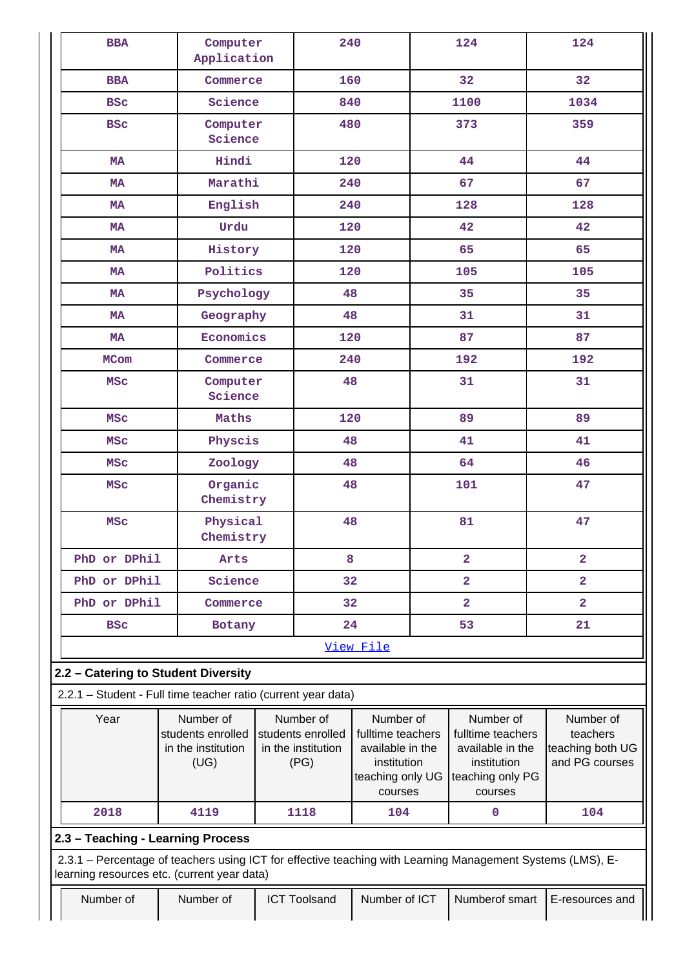| <b>BBA</b>                                                                                                                                                | Computer<br>Application                                      |    | 240                                                          |                                                                                                  |  | 124                                                                                              | 124                                                         |
|-----------------------------------------------------------------------------------------------------------------------------------------------------------|--------------------------------------------------------------|----|--------------------------------------------------------------|--------------------------------------------------------------------------------------------------|--|--------------------------------------------------------------------------------------------------|-------------------------------------------------------------|
| <b>BBA</b>                                                                                                                                                | Commerce                                                     |    | 160                                                          |                                                                                                  |  | 32                                                                                               | 32 <sub>2</sub>                                             |
| <b>BSC</b>                                                                                                                                                | Science                                                      |    | 840                                                          |                                                                                                  |  | 1100                                                                                             | 1034                                                        |
| <b>BSC</b>                                                                                                                                                | Computer<br>Science                                          |    | 480                                                          |                                                                                                  |  | 373                                                                                              | 359                                                         |
| <b>MA</b>                                                                                                                                                 | Hindi                                                        |    | 120                                                          |                                                                                                  |  | 44                                                                                               | 44                                                          |
| <b>MA</b>                                                                                                                                                 | Marathi                                                      |    | 240                                                          |                                                                                                  |  | 67                                                                                               | 67                                                          |
| <b>MA</b>                                                                                                                                                 | English                                                      |    | 240                                                          |                                                                                                  |  | 128                                                                                              | 128                                                         |
| <b>MA</b>                                                                                                                                                 | Urdu                                                         |    | 120                                                          |                                                                                                  |  | 42                                                                                               | 42                                                          |
| <b>MA</b>                                                                                                                                                 | History                                                      |    | 120                                                          |                                                                                                  |  | 65                                                                                               | 65                                                          |
| <b>MA</b>                                                                                                                                                 | Politics                                                     |    | 120                                                          |                                                                                                  |  | 105                                                                                              | 105                                                         |
| <b>MA</b>                                                                                                                                                 | Psychology                                                   |    | 48                                                           |                                                                                                  |  | 35                                                                                               | 35                                                          |
| <b>MA</b>                                                                                                                                                 | Geography                                                    |    | 48                                                           |                                                                                                  |  | 31                                                                                               | 31                                                          |
| <b>MA</b>                                                                                                                                                 | Economics                                                    |    | 120                                                          |                                                                                                  |  | 87                                                                                               | 87                                                          |
| <b>MCom</b>                                                                                                                                               | Commerce                                                     |    | 240                                                          |                                                                                                  |  | 192                                                                                              | 192                                                         |
| <b>MSC</b>                                                                                                                                                | Computer<br>Science                                          |    | 48                                                           |                                                                                                  |  | 31                                                                                               | 31                                                          |
| <b>MSC</b>                                                                                                                                                | Maths                                                        |    | 120                                                          |                                                                                                  |  | 89                                                                                               | 89                                                          |
| <b>MSC</b>                                                                                                                                                | Physcis                                                      | 48 |                                                              |                                                                                                  |  | 41                                                                                               | 41                                                          |
| <b>MSC</b>                                                                                                                                                | Zoology                                                      | 48 |                                                              |                                                                                                  |  | 64                                                                                               | 46                                                          |
| <b>MSC</b>                                                                                                                                                | Organic<br>Chemistry                                         | 48 |                                                              |                                                                                                  |  | 101                                                                                              | 47                                                          |
| <b>MSC</b>                                                                                                                                                | Physical<br>Chemistry                                        | 48 |                                                              |                                                                                                  |  | 81                                                                                               | 47                                                          |
| PhD or DPhil                                                                                                                                              | Arts                                                         |    | 8                                                            |                                                                                                  |  | $\overline{\mathbf{2}}$                                                                          | $\overline{\mathbf{2}}$                                     |
| PhD or DPhil                                                                                                                                              | Science                                                      |    | 32                                                           |                                                                                                  |  | 2                                                                                                | $\overline{a}$                                              |
| PhD or DPhil                                                                                                                                              | Commerce                                                     |    | 32                                                           |                                                                                                  |  | 2                                                                                                | $\overline{a}$                                              |
| <b>BSC</b>                                                                                                                                                | Botany                                                       |    | 24                                                           |                                                                                                  |  | 53                                                                                               | 21                                                          |
|                                                                                                                                                           |                                                              |    |                                                              | View File                                                                                        |  |                                                                                                  |                                                             |
| 2.2 - Catering to Student Diversity                                                                                                                       |                                                              |    |                                                              |                                                                                                  |  |                                                                                                  |                                                             |
| 2.2.1 - Student - Full time teacher ratio (current year data)                                                                                             |                                                              |    |                                                              |                                                                                                  |  |                                                                                                  |                                                             |
| Year                                                                                                                                                      | Number of<br>students enrolled<br>in the institution<br>(UG) |    | Number of<br>students enrolled<br>in the institution<br>(PG) | Number of<br>fulltime teachers<br>available in the<br>institution<br>teaching only UG<br>courses |  | Number of<br>fulltime teachers<br>available in the<br>institution<br>teaching only PG<br>courses | Number of<br>teachers<br>teaching both UG<br>and PG courses |
| 2018                                                                                                                                                      | 4119                                                         |    | 1118                                                         | 104                                                                                              |  | 0                                                                                                | 104                                                         |
| 2.3 - Teaching - Learning Process                                                                                                                         |                                                              |    |                                                              |                                                                                                  |  |                                                                                                  |                                                             |
| 2.3.1 - Percentage of teachers using ICT for effective teaching with Learning Management Systems (LMS), E-<br>learning resources etc. (current year data) |                                                              |    |                                                              |                                                                                                  |  |                                                                                                  |                                                             |
| Number of                                                                                                                                                 | Number of                                                    |    | <b>ICT Toolsand</b>                                          | Number of ICT                                                                                    |  | Numberof smart                                                                                   | E-resources and                                             |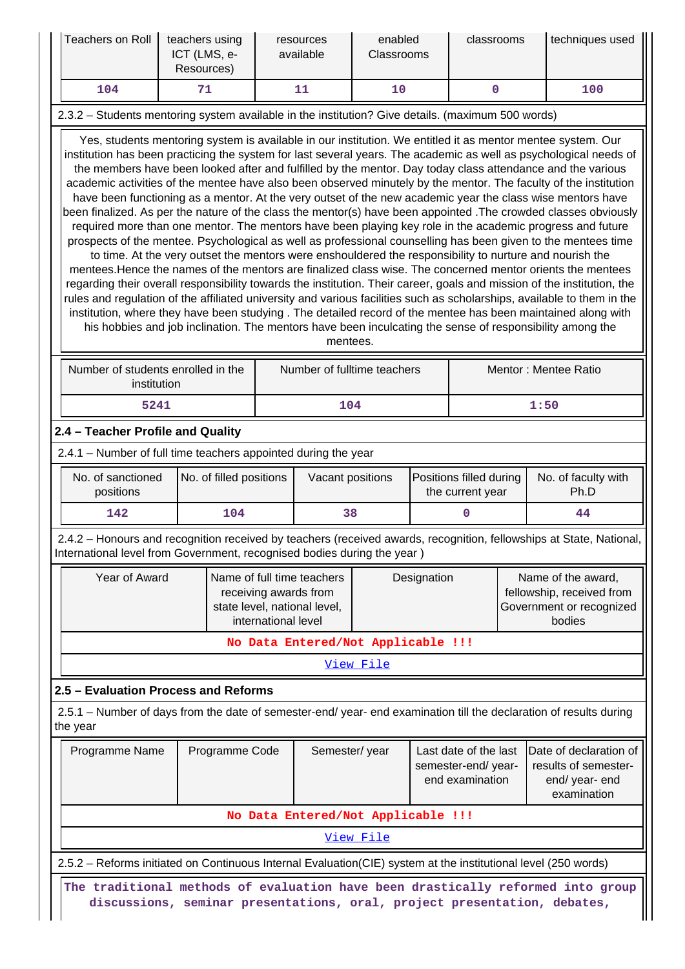| Teachers on Roll<br>teachers using<br>ICT (LMS, e-<br>Resources)                                                                                                                                                                                                                                                                                                                                                                                                                                                                                                                                                                                                                                                                                                                                                                                                                                                                                                                                                                                                                                                                                                                                                                                                                                                                                                                                                                                                                                                                                                                                                                                           |                                                                                                                                                             | enabled<br>resources<br>available<br>Classrooms |                         | classrooms                                                                                                                |                  | techniques used                    |                                                                                       |                                                                |  |                                                                                                                     |
|------------------------------------------------------------------------------------------------------------------------------------------------------------------------------------------------------------------------------------------------------------------------------------------------------------------------------------------------------------------------------------------------------------------------------------------------------------------------------------------------------------------------------------------------------------------------------------------------------------------------------------------------------------------------------------------------------------------------------------------------------------------------------------------------------------------------------------------------------------------------------------------------------------------------------------------------------------------------------------------------------------------------------------------------------------------------------------------------------------------------------------------------------------------------------------------------------------------------------------------------------------------------------------------------------------------------------------------------------------------------------------------------------------------------------------------------------------------------------------------------------------------------------------------------------------------------------------------------------------------------------------------------------------|-------------------------------------------------------------------------------------------------------------------------------------------------------------|-------------------------------------------------|-------------------------|---------------------------------------------------------------------------------------------------------------------------|------------------|------------------------------------|---------------------------------------------------------------------------------------|----------------------------------------------------------------|--|---------------------------------------------------------------------------------------------------------------------|
| 104                                                                                                                                                                                                                                                                                                                                                                                                                                                                                                                                                                                                                                                                                                                                                                                                                                                                                                                                                                                                                                                                                                                                                                                                                                                                                                                                                                                                                                                                                                                                                                                                                                                        |                                                                                                                                                             | 71                                              |                         |                                                                                                                           | 11               | 10                                 |                                                                                       | $\mathbf 0$                                                    |  | 100                                                                                                                 |
|                                                                                                                                                                                                                                                                                                                                                                                                                                                                                                                                                                                                                                                                                                                                                                                                                                                                                                                                                                                                                                                                                                                                                                                                                                                                                                                                                                                                                                                                                                                                                                                                                                                            | 2.3.2 - Students mentoring system available in the institution? Give details. (maximum 500 words)                                                           |                                                 |                         |                                                                                                                           |                  |                                    |                                                                                       |                                                                |  |                                                                                                                     |
| Yes, students mentoring system is available in our institution. We entitled it as mentor mentee system. Our<br>institution has been practicing the system for last several years. The academic as well as psychological needs of<br>the members have been looked after and fulfilled by the mentor. Day today class attendance and the various<br>academic activities of the mentee have also been observed minutely by the mentor. The faculty of the institution<br>have been functioning as a mentor. At the very outset of the new academic year the class wise mentors have<br>been finalized. As per the nature of the class the mentor(s) have been appointed . The crowded classes obviously<br>required more than one mentor. The mentors have been playing key role in the academic progress and future<br>prospects of the mentee. Psychological as well as professional counselling has been given to the mentees time<br>to time. At the very outset the mentors were enshouldered the responsibility to nurture and nourish the<br>mentees. Hence the names of the mentors are finalized class wise. The concerned mentor orients the mentees<br>regarding their overall responsibility towards the institution. Their career, goals and mission of the institution, the<br>rules and regulation of the affiliated university and various facilities such as scholarships, available to them in the<br>institution, where they have been studying . The detailed record of the mentee has been maintained along with<br>his hobbies and job inclination. The mentors have been inculcating the sense of responsibility among the<br>mentees. |                                                                                                                                                             |                                                 |                         |                                                                                                                           |                  |                                    |                                                                                       |                                                                |  |                                                                                                                     |
|                                                                                                                                                                                                                                                                                                                                                                                                                                                                                                                                                                                                                                                                                                                                                                                                                                                                                                                                                                                                                                                                                                                                                                                                                                                                                                                                                                                                                                                                                                                                                                                                                                                            | Number of students enrolled in the<br>Number of fulltime teachers<br>Mentor: Mentee Ratio<br>institution                                                    |                                                 |                         |                                                                                                                           |                  |                                    |                                                                                       |                                                                |  |                                                                                                                     |
|                                                                                                                                                                                                                                                                                                                                                                                                                                                                                                                                                                                                                                                                                                                                                                                                                                                                                                                                                                                                                                                                                                                                                                                                                                                                                                                                                                                                                                                                                                                                                                                                                                                            | 5241<br>104<br>1:50                                                                                                                                         |                                                 |                         |                                                                                                                           |                  |                                    |                                                                                       |                                                                |  |                                                                                                                     |
| 2.4 - Teacher Profile and Quality                                                                                                                                                                                                                                                                                                                                                                                                                                                                                                                                                                                                                                                                                                                                                                                                                                                                                                                                                                                                                                                                                                                                                                                                                                                                                                                                                                                                                                                                                                                                                                                                                          |                                                                                                                                                             |                                                 |                         |                                                                                                                           |                  |                                    |                                                                                       |                                                                |  |                                                                                                                     |
| 2.4.1 - Number of full time teachers appointed during the year                                                                                                                                                                                                                                                                                                                                                                                                                                                                                                                                                                                                                                                                                                                                                                                                                                                                                                                                                                                                                                                                                                                                                                                                                                                                                                                                                                                                                                                                                                                                                                                             |                                                                                                                                                             |                                                 |                         |                                                                                                                           |                  |                                    |                                                                                       |                                                                |  |                                                                                                                     |
| No. of sanctioned<br>positions                                                                                                                                                                                                                                                                                                                                                                                                                                                                                                                                                                                                                                                                                                                                                                                                                                                                                                                                                                                                                                                                                                                                                                                                                                                                                                                                                                                                                                                                                                                                                                                                                             |                                                                                                                                                             |                                                 | No. of filled positions |                                                                                                                           | Vacant positions |                                    |                                                                                       | Positions filled during<br>the current year                    |  | No. of faculty with<br>Ph.D                                                                                         |
| 142                                                                                                                                                                                                                                                                                                                                                                                                                                                                                                                                                                                                                                                                                                                                                                                                                                                                                                                                                                                                                                                                                                                                                                                                                                                                                                                                                                                                                                                                                                                                                                                                                                                        |                                                                                                                                                             |                                                 | 104                     |                                                                                                                           | 38               |                                    |                                                                                       | 0                                                              |  | 44                                                                                                                  |
| International level from Government, recognised bodies during the year)                                                                                                                                                                                                                                                                                                                                                                                                                                                                                                                                                                                                                                                                                                                                                                                                                                                                                                                                                                                                                                                                                                                                                                                                                                                                                                                                                                                                                                                                                                                                                                                    |                                                                                                                                                             |                                                 |                         |                                                                                                                           |                  |                                    |                                                                                       |                                                                |  | 2.4.2 - Honours and recognition received by teachers (received awards, recognition, fellowships at State, National, |
| Year of Award                                                                                                                                                                                                                                                                                                                                                                                                                                                                                                                                                                                                                                                                                                                                                                                                                                                                                                                                                                                                                                                                                                                                                                                                                                                                                                                                                                                                                                                                                                                                                                                                                                              |                                                                                                                                                             |                                                 |                         | Name of full time teachers<br>Designation<br>receiving awards from<br>state level, national level,<br>international level |                  |                                    | Name of the award,<br>fellowship, received from<br>Government or recognized<br>bodies |                                                                |  |                                                                                                                     |
|                                                                                                                                                                                                                                                                                                                                                                                                                                                                                                                                                                                                                                                                                                                                                                                                                                                                                                                                                                                                                                                                                                                                                                                                                                                                                                                                                                                                                                                                                                                                                                                                                                                            |                                                                                                                                                             |                                                 |                         |                                                                                                                           |                  | No Data Entered/Not Applicable !!! |                                                                                       |                                                                |  |                                                                                                                     |
|                                                                                                                                                                                                                                                                                                                                                                                                                                                                                                                                                                                                                                                                                                                                                                                                                                                                                                                                                                                                                                                                                                                                                                                                                                                                                                                                                                                                                                                                                                                                                                                                                                                            |                                                                                                                                                             |                                                 |                         |                                                                                                                           |                  | View File                          |                                                                                       |                                                                |  |                                                                                                                     |
| 2.5 - Evaluation Process and Reforms                                                                                                                                                                                                                                                                                                                                                                                                                                                                                                                                                                                                                                                                                                                                                                                                                                                                                                                                                                                                                                                                                                                                                                                                                                                                                                                                                                                                                                                                                                                                                                                                                       |                                                                                                                                                             |                                                 |                         |                                                                                                                           |                  |                                    |                                                                                       |                                                                |  |                                                                                                                     |
| the year                                                                                                                                                                                                                                                                                                                                                                                                                                                                                                                                                                                                                                                                                                                                                                                                                                                                                                                                                                                                                                                                                                                                                                                                                                                                                                                                                                                                                                                                                                                                                                                                                                                   |                                                                                                                                                             |                                                 |                         |                                                                                                                           |                  |                                    |                                                                                       |                                                                |  | 2.5.1 – Number of days from the date of semester-end/ year- end examination till the declaration of results during  |
| Programme Name                                                                                                                                                                                                                                                                                                                                                                                                                                                                                                                                                                                                                                                                                                                                                                                                                                                                                                                                                                                                                                                                                                                                                                                                                                                                                                                                                                                                                                                                                                                                                                                                                                             |                                                                                                                                                             |                                                 | Programme Code          |                                                                                                                           | Semester/year    |                                    |                                                                                       | Last date of the last<br>semester-end/year-<br>end examination |  | Date of declaration of<br>results of semester-<br>end/ year- end<br>examination                                     |
|                                                                                                                                                                                                                                                                                                                                                                                                                                                                                                                                                                                                                                                                                                                                                                                                                                                                                                                                                                                                                                                                                                                                                                                                                                                                                                                                                                                                                                                                                                                                                                                                                                                            |                                                                                                                                                             |                                                 |                         |                                                                                                                           |                  | No Data Entered/Not Applicable !!! |                                                                                       |                                                                |  |                                                                                                                     |
|                                                                                                                                                                                                                                                                                                                                                                                                                                                                                                                                                                                                                                                                                                                                                                                                                                                                                                                                                                                                                                                                                                                                                                                                                                                                                                                                                                                                                                                                                                                                                                                                                                                            |                                                                                                                                                             |                                                 |                         |                                                                                                                           |                  | View File                          |                                                                                       |                                                                |  |                                                                                                                     |
| 2.5.2 - Reforms initiated on Continuous Internal Evaluation(CIE) system at the institutional level (250 words)                                                                                                                                                                                                                                                                                                                                                                                                                                                                                                                                                                                                                                                                                                                                                                                                                                                                                                                                                                                                                                                                                                                                                                                                                                                                                                                                                                                                                                                                                                                                             |                                                                                                                                                             |                                                 |                         |                                                                                                                           |                  |                                    |                                                                                       |                                                                |  |                                                                                                                     |
|                                                                                                                                                                                                                                                                                                                                                                                                                                                                                                                                                                                                                                                                                                                                                                                                                                                                                                                                                                                                                                                                                                                                                                                                                                                                                                                                                                                                                                                                                                                                                                                                                                                            | The traditional methods of evaluation have been drastically reformed into group<br>discussions, seminar presentations, oral, project presentation, debates, |                                                 |                         |                                                                                                                           |                  |                                    |                                                                                       |                                                                |  |                                                                                                                     |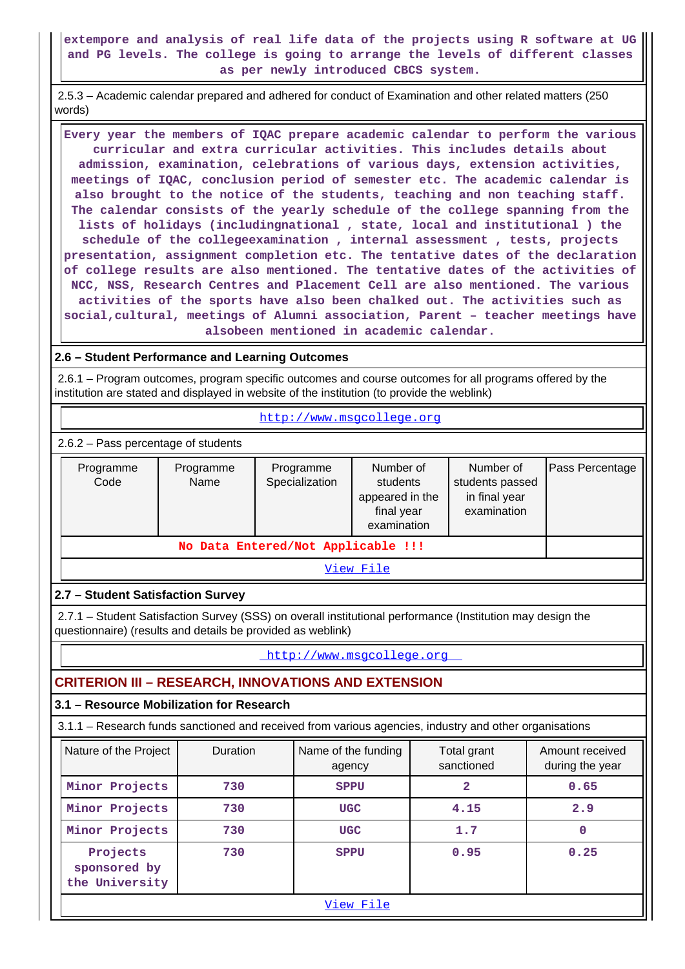### **extempore and analysis of real life data of the projects using R software at UG and PG levels. The college is going to arrange the levels of different classes as per newly introduced CBCS system.**

 2.5.3 – Academic calendar prepared and adhered for conduct of Examination and other related matters (250 words)

 **Every year the members of IQAC prepare academic calendar to perform the various curricular and extra curricular activities. This includes details about admission, examination, celebrations of various days, extension activities, meetings of IQAC, conclusion period of semester etc. The academic calendar is also brought to the notice of the students, teaching and non teaching staff. The calendar consists of the yearly schedule of the college spanning from the lists of holidays (includingnational , state, local and institutional ) the schedule of the collegeexamination , internal assessment , tests, projects presentation, assignment completion etc. The tentative dates of the declaration of college results are also mentioned. The tentative dates of the activities of NCC, NSS, Research Centres and Placement Cell are also mentioned. The various activities of the sports have also been chalked out. The activities such as social,cultural, meetings of Alumni association, Parent – teacher meetings have alsobeen mentioned in academic calendar.**

### **2.6 – Student Performance and Learning Outcomes**

 2.6.1 – Program outcomes, program specific outcomes and course outcomes for all programs offered by the institution are stated and displayed in website of the institution (to provide the weblink)

<http://www.msgcollege.org>

2.6.2 – Pass percentage of students

| Programme<br>Code | Programme<br>Name | Programme<br>Specialization | Number of<br>students passed<br>students<br>appeared in the<br>final year<br>examination |  | Pass Percentage |  |  |
|-------------------|-------------------|-----------------------------|------------------------------------------------------------------------------------------|--|-----------------|--|--|
|                   |                   |                             |                                                                                          |  |                 |  |  |
| View File         |                   |                             |                                                                                          |  |                 |  |  |

## **2.7 – Student Satisfaction Survey**

 2.7.1 – Student Satisfaction Survey (SSS) on overall institutional performance (Institution may design the questionnaire) (results and details be provided as weblink)

<http://www.msgcollege.org>

## **CRITERION III – RESEARCH, INNOVATIONS AND EXTENSION**

## **3.1 – Resource Mobilization for Research**

3.1.1 – Research funds sanctioned and received from various agencies, industry and other organisations

| Nature of the Project                      | <b>Duration</b> | Name of the funding<br>agency | Total grant<br>sanctioned | Amount received<br>during the year |  |  |  |  |
|--------------------------------------------|-----------------|-------------------------------|---------------------------|------------------------------------|--|--|--|--|
| Minor Projects                             | 730             | SPPU                          | 2                         | 0.65                               |  |  |  |  |
| Minor Projects                             | 730             | <b>UGC</b>                    | 4.15                      | 2.9                                |  |  |  |  |
| Minor Projects                             | 730             | <b>UGC</b>                    | 1.7                       | 0                                  |  |  |  |  |
| Projects<br>sponsored by<br>the University | 730             | <b>SPPU</b>                   | 0.95                      | 0.25                               |  |  |  |  |
|                                            | View File       |                               |                           |                                    |  |  |  |  |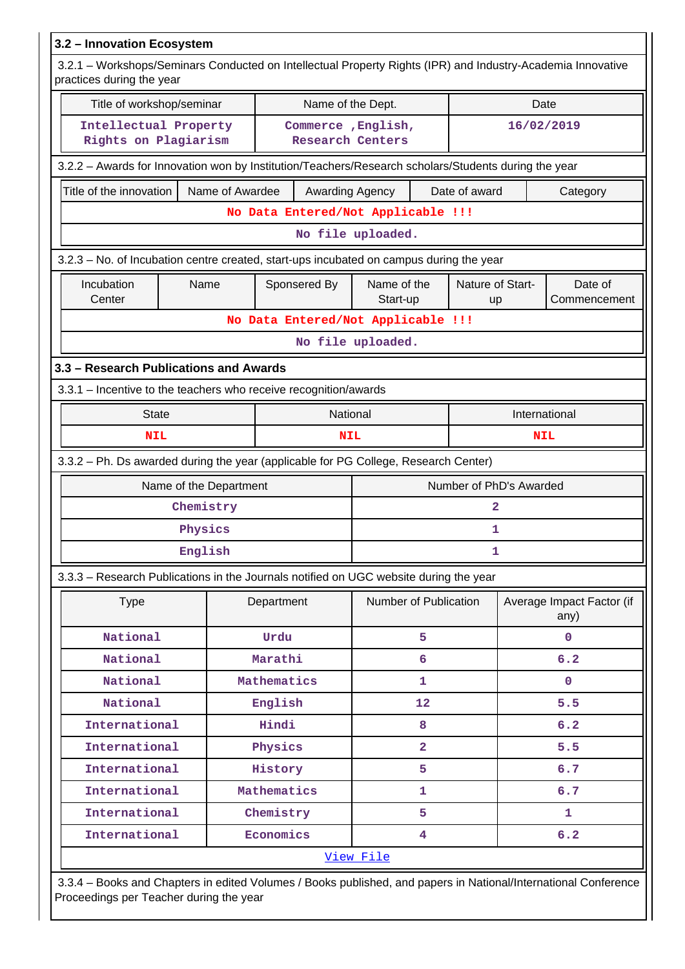| 3.2 - Innovation Ecosystem                                                                                                               |                                    |             |                                               |                       |                         |                         |            |                                   |
|------------------------------------------------------------------------------------------------------------------------------------------|------------------------------------|-------------|-----------------------------------------------|-----------------------|-------------------------|-------------------------|------------|-----------------------------------|
| 3.2.1 - Workshops/Seminars Conducted on Intellectual Property Rights (IPR) and Industry-Academia Innovative<br>practices during the year |                                    |             |                                               |                       |                         |                         |            |                                   |
| Title of workshop/seminar                                                                                                                |                                    |             | Name of the Dept.                             |                       |                         | Date                    |            |                                   |
| Intellectual Property<br>Rights on Plagiarism                                                                                            |                                    |             | Commerce, English,<br><b>Research Centers</b> |                       |                         |                         | 16/02/2019 |                                   |
| 3.2.2 - Awards for Innovation won by Institution/Teachers/Research scholars/Students during the year                                     |                                    |             |                                               |                       |                         |                         |            |                                   |
| Title of the innovation                                                                                                                  | Name of Awardee<br>Awarding Agency |             |                                               |                       |                         | Date of award           |            | Category                          |
|                                                                                                                                          |                                    |             | No Data Entered/Not Applicable !!!            |                       |                         |                         |            |                                   |
|                                                                                                                                          |                                    |             |                                               | No file uploaded.     |                         |                         |            |                                   |
| 3.2.3 – No. of Incubation centre created, start-ups incubated on campus during the year                                                  |                                    |             |                                               |                       |                         |                         |            |                                   |
| Incubation<br>Sponsered By<br>Name of the<br>Nature of Start-<br>Date of<br>Name<br>Center<br>Commencement<br>Start-up<br>up             |                                    |             |                                               |                       |                         |                         |            |                                   |
|                                                                                                                                          |                                    |             | No Data Entered/Not Applicable !!!            |                       |                         |                         |            |                                   |
|                                                                                                                                          |                                    |             |                                               | No file uploaded.     |                         |                         |            |                                   |
| 3.3 - Research Publications and Awards                                                                                                   |                                    |             |                                               |                       |                         |                         |            |                                   |
| 3.3.1 - Incentive to the teachers who receive recognition/awards                                                                         |                                    |             |                                               |                       |                         |                         |            |                                   |
| <b>State</b>                                                                                                                             |                                    | National    |                                               |                       | International           |                         |            |                                   |
| NIL                                                                                                                                      |                                    |             | <b>NIL</b>                                    | <b>NIL</b>            |                         |                         |            |                                   |
| 3.3.2 - Ph. Ds awarded during the year (applicable for PG College, Research Center)                                                      |                                    |             |                                               |                       |                         |                         |            |                                   |
| Name of the Department                                                                                                                   |                                    |             |                                               |                       |                         | Number of PhD's Awarded |            |                                   |
| Chemistry                                                                                                                                |                                    |             |                                               |                       |                         | 2                       |            |                                   |
| Physics                                                                                                                                  |                                    |             |                                               |                       |                         | 1                       |            |                                   |
| English                                                                                                                                  |                                    |             |                                               |                       |                         | ı                       |            |                                   |
| 3.3.3 - Research Publications in the Journals notified on UGC website during the year                                                    |                                    |             |                                               |                       |                         |                         |            |                                   |
| <b>Type</b>                                                                                                                              |                                    | Department  |                                               | Number of Publication |                         |                         |            | Average Impact Factor (if<br>any) |
| National                                                                                                                                 |                                    | Urdu        |                                               |                       | 5                       |                         |            | $\mathbf 0$                       |
| National                                                                                                                                 |                                    | Marathi     |                                               |                       | 6                       |                         | 6.2        |                                   |
| National                                                                                                                                 |                                    | Mathematics |                                               |                       | 1                       |                         |            | $\mathbf{0}$                      |
| National                                                                                                                                 |                                    | English     |                                               |                       | 12                      |                         |            | 5.5                               |
| International                                                                                                                            |                                    | Hindi       |                                               |                       | 8                       |                         |            | 6.2                               |
| International                                                                                                                            |                                    | Physics     |                                               |                       | $\overline{\mathbf{2}}$ |                         |            | 5.5                               |
| International                                                                                                                            |                                    | History     |                                               | 5                     |                         |                         |            | 6.7                               |
| International                                                                                                                            |                                    | Mathematics |                                               |                       | 1                       |                         |            | 6.7                               |
| International                                                                                                                            |                                    | Chemistry   |                                               |                       | 5                       |                         |            | 1                                 |
| International                                                                                                                            |                                    | Economics   |                                               |                       | 4                       |                         |            | 6.2                               |
|                                                                                                                                          |                                    |             |                                               | View File             |                         |                         |            |                                   |
| 3.3.4 - Books and Chapters in edited Volumes / Books published, and papers in National/International Conference                          |                                    |             |                                               |                       |                         |                         |            |                                   |

Proceedings per Teacher during the year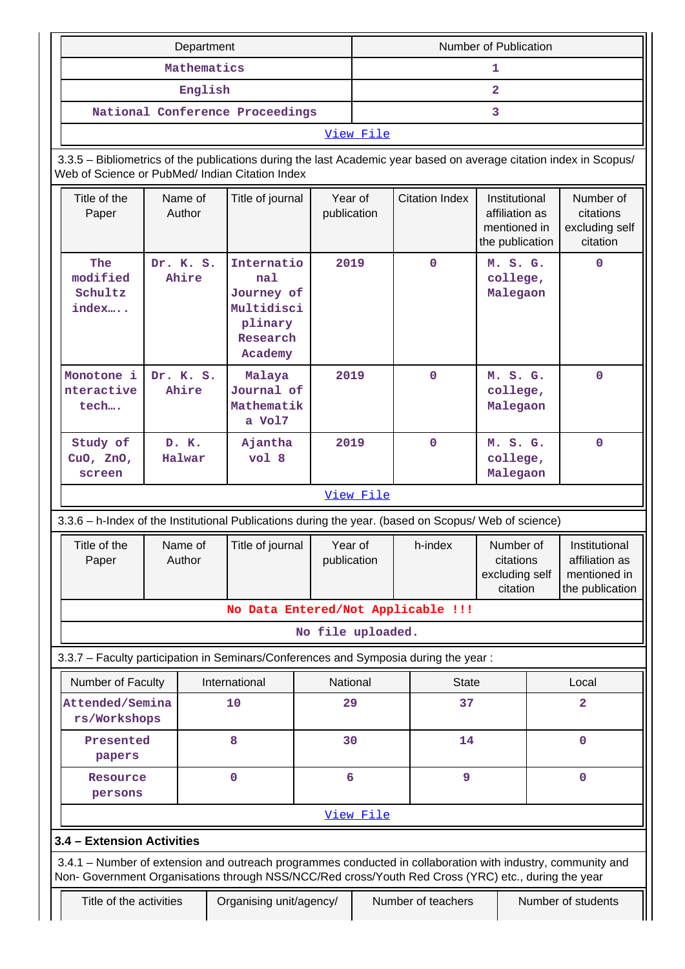|                                                                                                                                                                                                                    | Department         |                                                                                 |                                            | Number of Publication |                                    |                                                                    |  |                                                                    |
|--------------------------------------------------------------------------------------------------------------------------------------------------------------------------------------------------------------------|--------------------|---------------------------------------------------------------------------------|--------------------------------------------|-----------------------|------------------------------------|--------------------------------------------------------------------|--|--------------------------------------------------------------------|
|                                                                                                                                                                                                                    | Mathematics        |                                                                                 |                                            | 1                     |                                    |                                                                    |  |                                                                    |
|                                                                                                                                                                                                                    | English            |                                                                                 |                                            | $\overline{a}$        |                                    |                                                                    |  |                                                                    |
|                                                                                                                                                                                                                    |                    | National Conference Proceedings                                                 |                                            | 3                     |                                    |                                                                    |  |                                                                    |
|                                                                                                                                                                                                                    |                    |                                                                                 |                                            | View File             |                                    |                                                                    |  |                                                                    |
| 3.3.5 - Bibliometrics of the publications during the last Academic year based on average citation index in Scopus/<br>Web of Science or PubMed/ Indian Citation Index                                              |                    |                                                                                 |                                            |                       |                                    |                                                                    |  |                                                                    |
| Title of the<br>Paper                                                                                                                                                                                              | Name of<br>Author  |                                                                                 | Title of journal<br>Year of<br>publication |                       | <b>Citation Index</b>              | Institutional<br>affiliation as<br>mentioned in<br>the publication |  | Number of<br>citations<br>excluding self<br>citation               |
| The<br>modified<br>Schultz<br>index                                                                                                                                                                                | Dr. K. S.<br>Ahire | Internatio<br>nal<br>Journey of<br>Multidisci<br>plinary<br>Research<br>Academy | 2019                                       |                       | $\mathbf 0$                        | M. S. G.<br>college,<br>Malegaon                                   |  | $\mathbf 0$                                                        |
| Monotone i<br>nteractive<br>tech                                                                                                                                                                                   | Dr. K. S.<br>Ahire | Malaya<br>Journal of<br>Mathematik<br>a Vol7                                    | 2019                                       |                       | $\mathbf 0$                        | M. S. G.<br>college,<br>Malegaon                                   |  | $\mathbf 0$                                                        |
| Study of<br>CuO, $ZnO$ ,<br>screen                                                                                                                                                                                 | D. K.<br>Halwar    | Ajantha<br>vol <sub>8</sub>                                                     | 2019                                       |                       | $\mathbf 0$                        | M. S. G.<br>college,<br>Malegaon                                   |  | $\mathbf 0$                                                        |
|                                                                                                                                                                                                                    |                    |                                                                                 |                                            | View File             |                                    |                                                                    |  |                                                                    |
| 3.3.6 - h-Index of the Institutional Publications during the year. (based on Scopus/ Web of science)                                                                                                               |                    |                                                                                 |                                            |                       |                                    |                                                                    |  |                                                                    |
| Title of the<br>Paper                                                                                                                                                                                              | Name of<br>Author  | Title of journal                                                                | Year of<br>publication                     |                       | h-index                            | Number of<br>citations<br>excluding self<br>citation               |  | Institutional<br>affiliation as<br>mentioned in<br>the publication |
|                                                                                                                                                                                                                    |                    |                                                                                 |                                            |                       | No Data Entered/Not Applicable !!! |                                                                    |  |                                                                    |
|                                                                                                                                                                                                                    |                    |                                                                                 | No file uploaded.                          |                       |                                    |                                                                    |  |                                                                    |
| 3.3.7 - Faculty participation in Seminars/Conferences and Symposia during the year:                                                                                                                                |                    |                                                                                 |                                            |                       |                                    |                                                                    |  |                                                                    |
| Number of Faculty                                                                                                                                                                                                  |                    | International                                                                   | National                                   |                       | <b>State</b>                       |                                                                    |  | Local                                                              |
| Attended/Semina<br>rs/Workshops                                                                                                                                                                                    |                    | 10                                                                              | 29                                         |                       | 37                                 |                                                                    |  | $\mathbf{2}$                                                       |
| Presented<br>papers                                                                                                                                                                                                |                    | 8                                                                               | 30                                         |                       | 14                                 |                                                                    |  | $\mathbf 0$                                                        |
| Resource<br>persons                                                                                                                                                                                                |                    | 0                                                                               | 6                                          |                       | 9                                  |                                                                    |  | $\mathbf 0$                                                        |
|                                                                                                                                                                                                                    |                    |                                                                                 |                                            | View File             |                                    |                                                                    |  |                                                                    |
| 3.4 - Extension Activities                                                                                                                                                                                         |                    |                                                                                 |                                            |                       |                                    |                                                                    |  |                                                                    |
| 3.4.1 – Number of extension and outreach programmes conducted in collaboration with industry, community and<br>Non- Government Organisations through NSS/NCC/Red cross/Youth Red Cross (YRC) etc., during the year |                    |                                                                                 |                                            |                       |                                    |                                                                    |  |                                                                    |
| Title of the activities                                                                                                                                                                                            |                    | Organising unit/agency/                                                         |                                            |                       | Number of teachers                 |                                                                    |  | Number of students                                                 |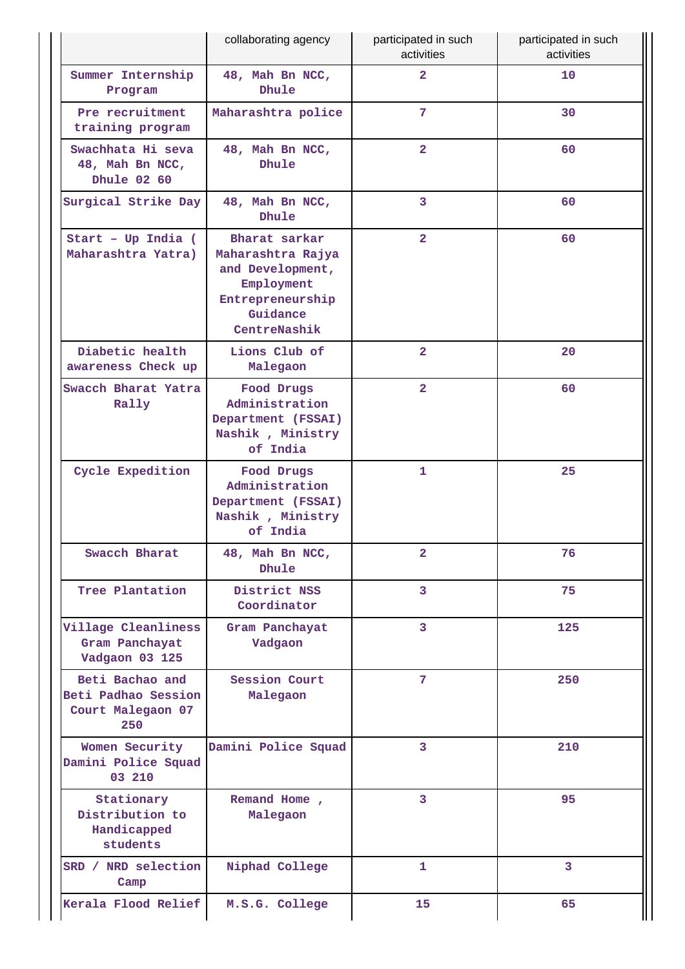| collaborating agency                                               |                                                                                                                      | participated in such<br>activities | participated in such<br>activities |
|--------------------------------------------------------------------|----------------------------------------------------------------------------------------------------------------------|------------------------------------|------------------------------------|
| Summer Internship<br>Program                                       | 48, Mah Bn NCC,<br>Dhule                                                                                             | $\overline{2}$                     | 10                                 |
| Pre recruitment<br>training program                                | Maharashtra police                                                                                                   | 7                                  | 30                                 |
| Swachhata Hi seva<br>48, Mah Bn NCC,<br>Dhule 02 60                | 48, Mah Bn NCC,<br>Dhule                                                                                             | $\overline{2}$                     | 60                                 |
| Surgical Strike Day                                                | 48, Mah Bn NCC,<br>Dhule                                                                                             | 3                                  | 60                                 |
| Start - Up India (<br>Maharashtra Yatra)                           | Bharat sarkar<br>Maharashtra Rajya<br>and Development,<br>Employment<br>Entrepreneurship<br>Guidance<br>CentreNashik | $\overline{\mathbf{2}}$            | 60                                 |
| Diabetic health<br>awareness Check up                              | Lions Club of<br>Malegaon                                                                                            | $\overline{2}$                     | 20                                 |
| Swacch Bharat Yatra<br>Rally                                       | Food Drugs<br>Administration<br>Department (FSSAI)<br>Nashik, Ministry<br>of India                                   | $\overline{2}$                     | 60                                 |
| Cycle Expedition                                                   | Food Drugs<br>Administration<br>Department (FSSAI)<br>Nashik, Ministry<br>of India                                   | 1                                  | 25                                 |
| Swacch Bharat                                                      | 48, Mah Bn NCC,<br>Dhule                                                                                             | $\overline{2}$                     | 76                                 |
| Tree Plantation                                                    | District NSS<br>Coordinator                                                                                          | 3                                  | 75                                 |
| Village Cleanliness<br>Gram Panchayat<br>Vadgaon 03 125            | Gram Panchayat<br>Vadgaon                                                                                            | 3                                  | 125                                |
| Beti Bachao and<br>Beti Padhao Session<br>Court Malegaon 07<br>250 | <b>Session Court</b><br>Malegaon                                                                                     | $7\phantom{.0}$                    | 250                                |
| Women Security<br>Damini Police Squad<br>03 210                    | Damini Police Squad                                                                                                  | 3                                  | 210                                |
| Stationary<br>Distribution to<br>Handicapped<br>students           | Remand Home,<br>Malegaon                                                                                             | 3                                  | 95                                 |
| SRD / NRD selection<br>Camp                                        | Niphad College                                                                                                       | 1                                  | $\overline{3}$                     |
| Kerala Flood Relief                                                | M.S.G. College                                                                                                       | 15                                 | 65                                 |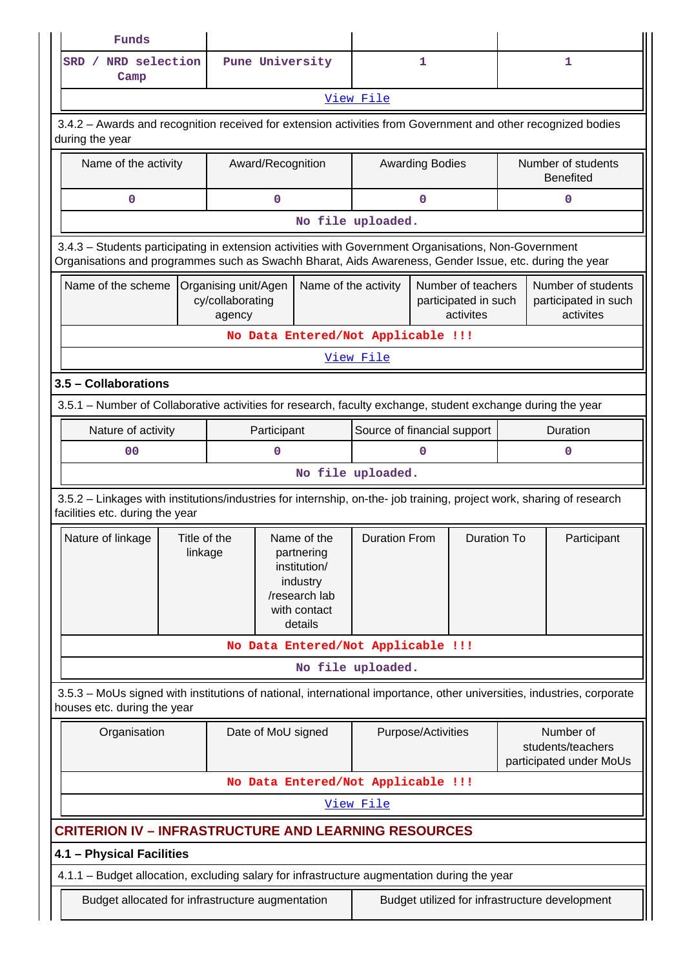| Funds                                                                                                                                                                                                          |                                                                                                             |                                                    |                                                                                                   |                             |                                                         |                    |          |                                                           |  |
|----------------------------------------------------------------------------------------------------------------------------------------------------------------------------------------------------------------|-------------------------------------------------------------------------------------------------------------|----------------------------------------------------|---------------------------------------------------------------------------------------------------|-----------------------------|---------------------------------------------------------|--------------------|----------|-----------------------------------------------------------|--|
| SRD / NRD selection<br>Camp                                                                                                                                                                                    |                                                                                                             | Pune University                                    |                                                                                                   | $\mathbf{1}$                |                                                         | 1                  |          |                                                           |  |
|                                                                                                                                                                                                                |                                                                                                             |                                                    |                                                                                                   | View File                   |                                                         |                    |          |                                                           |  |
| 3.4.2 - Awards and recognition received for extension activities from Government and other recognized bodies<br>during the year                                                                                |                                                                                                             |                                                    |                                                                                                   |                             |                                                         |                    |          |                                                           |  |
| Name of the activity                                                                                                                                                                                           |                                                                                                             | Award/Recognition                                  |                                                                                                   |                             | <b>Awarding Bodies</b>                                  |                    |          | Number of students<br><b>Benefited</b>                    |  |
| $\mathbf 0$                                                                                                                                                                                                    |                                                                                                             |                                                    | $\mathbf 0$                                                                                       |                             |                                                         | $\mathbf 0$        |          |                                                           |  |
| No file uploaded.                                                                                                                                                                                              |                                                                                                             |                                                    |                                                                                                   |                             |                                                         |                    |          |                                                           |  |
| 3.4.3 - Students participating in extension activities with Government Organisations, Non-Government<br>Organisations and programmes such as Swachh Bharat, Aids Awareness, Gender Issue, etc. during the year |                                                                                                             |                                                    |                                                                                                   |                             |                                                         |                    |          |                                                           |  |
| Name of the scheme                                                                                                                                                                                             |                                                                                                             | Organising unit/Agen<br>cy/collaborating<br>agency | Name of the activity                                                                              |                             | Number of teachers<br>participated in such<br>activites |                    |          | Number of students<br>participated in such<br>activites   |  |
|                                                                                                                                                                                                                |                                                                                                             | No Data Entered/Not Applicable !!!                 |                                                                                                   |                             |                                                         |                    |          |                                                           |  |
|                                                                                                                                                                                                                |                                                                                                             |                                                    |                                                                                                   | View File                   |                                                         |                    |          |                                                           |  |
| 3.5 - Collaborations                                                                                                                                                                                           |                                                                                                             |                                                    |                                                                                                   |                             |                                                         |                    |          |                                                           |  |
|                                                                                                                                                                                                                | 3.5.1 - Number of Collaborative activities for research, faculty exchange, student exchange during the year |                                                    |                                                                                                   |                             |                                                         |                    |          |                                                           |  |
| Nature of activity                                                                                                                                                                                             |                                                                                                             |                                                    |                                                                                                   | Source of financial support |                                                         |                    | Duration |                                                           |  |
| 0 <sub>0</sub>                                                                                                                                                                                                 |                                                                                                             | 0                                                  |                                                                                                   |                             | O                                                       |                    | 0        |                                                           |  |
|                                                                                                                                                                                                                | No file uploaded.                                                                                           |                                                    |                                                                                                   |                             |                                                         |                    |          |                                                           |  |
| 3.5.2 - Linkages with institutions/industries for internship, on-the- job training, project work, sharing of research<br>facilities etc. during the year                                                       |                                                                                                             |                                                    |                                                                                                   |                             |                                                         |                    |          |                                                           |  |
| Nature of linkage                                                                                                                                                                                              | linkage                                                                                                     | Title of the                                       | Name of the<br>partnering<br>institution/<br>industry<br>/research lab<br>with contact<br>details | <b>Duration From</b>        |                                                         | <b>Duration To</b> |          | Participant                                               |  |
|                                                                                                                                                                                                                |                                                                                                             | No Data Entered/Not Applicable !!!                 |                                                                                                   |                             |                                                         |                    |          |                                                           |  |
|                                                                                                                                                                                                                |                                                                                                             |                                                    |                                                                                                   | No file uploaded.           |                                                         |                    |          |                                                           |  |
| 3.5.3 - MoUs signed with institutions of national, international importance, other universities, industries, corporate<br>houses etc. during the year                                                          |                                                                                                             |                                                    |                                                                                                   |                             |                                                         |                    |          |                                                           |  |
| Organisation                                                                                                                                                                                                   |                                                                                                             | Date of MoU signed                                 |                                                                                                   |                             | Purpose/Activities                                      |                    |          | Number of<br>students/teachers<br>participated under MoUs |  |
|                                                                                                                                                                                                                |                                                                                                             | No Data Entered/Not Applicable !!!                 |                                                                                                   |                             |                                                         |                    |          |                                                           |  |
|                                                                                                                                                                                                                |                                                                                                             |                                                    |                                                                                                   | View File                   |                                                         |                    |          |                                                           |  |
| <b>CRITERION IV - INFRASTRUCTURE AND LEARNING RESOURCES</b>                                                                                                                                                    |                                                                                                             |                                                    |                                                                                                   |                             |                                                         |                    |          |                                                           |  |
| 4.1 - Physical Facilities                                                                                                                                                                                      |                                                                                                             |                                                    |                                                                                                   |                             |                                                         |                    |          |                                                           |  |
| 4.1.1 - Budget allocation, excluding salary for infrastructure augmentation during the year                                                                                                                    |                                                                                                             |                                                    |                                                                                                   |                             |                                                         |                    |          |                                                           |  |
| Budget allocated for infrastructure augmentation                                                                                                                                                               |                                                                                                             |                                                    |                                                                                                   |                             |                                                         |                    |          | Budget utilized for infrastructure development            |  |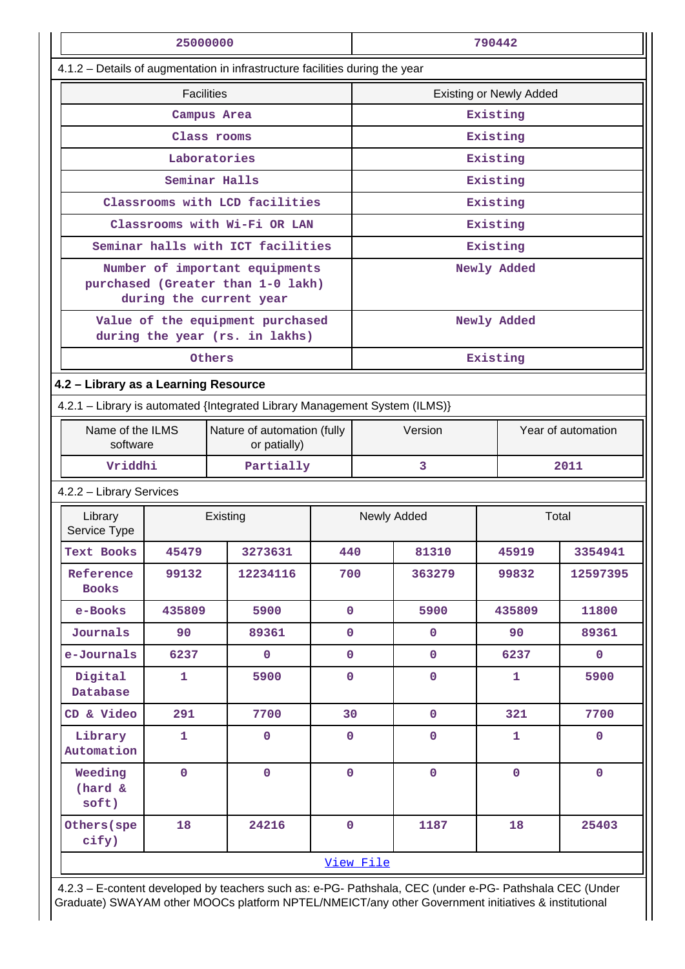|                                      | 25000000                                                                    |                                                                                                |             | 790442                         |                |              |                    |  |  |
|--------------------------------------|-----------------------------------------------------------------------------|------------------------------------------------------------------------------------------------|-------------|--------------------------------|----------------|--------------|--------------------|--|--|
|                                      |                                                                             | 4.1.2 - Details of augmentation in infrastructure facilities during the year                   |             |                                |                |              |                    |  |  |
|                                      | <b>Facilities</b>                                                           |                                                                                                |             | <b>Existing or Newly Added</b> |                |              |                    |  |  |
|                                      |                                                                             | Campus Area                                                                                    |             | Existing                       |                |              |                    |  |  |
|                                      |                                                                             | Class rooms                                                                                    |             |                                | Existing       |              |                    |  |  |
|                                      |                                                                             | Laboratories                                                                                   |             |                                |                | Existing     |                    |  |  |
|                                      |                                                                             | Seminar Halls                                                                                  |             |                                | Existing       |              |                    |  |  |
|                                      |                                                                             | Classrooms with LCD facilities                                                                 |             |                                | Existing       |              |                    |  |  |
|                                      |                                                                             | Classrooms with Wi-Fi OR LAN                                                                   |             |                                |                | Existing     |                    |  |  |
|                                      |                                                                             | Seminar halls with ICT facilities                                                              |             |                                |                | Existing     |                    |  |  |
|                                      |                                                                             | Number of important equipments<br>purchased (Greater than 1-0 lakh)<br>during the current year |             |                                | Newly Added    |              |                    |  |  |
|                                      |                                                                             | Value of the equipment purchased<br>during the year (rs. in lakhs)                             |             |                                |                | Newly Added  |                    |  |  |
|                                      |                                                                             | Others                                                                                         |             |                                |                | Existing     |                    |  |  |
| 4.2 - Library as a Learning Resource |                                                                             |                                                                                                |             |                                |                |              |                    |  |  |
|                                      | 4.2.1 - Library is automated {Integrated Library Management System (ILMS)}  |                                                                                                |             |                                |                |              |                    |  |  |
|                                      | Name of the ILMS<br>Nature of automation (fully<br>software<br>or patially) |                                                                                                |             |                                | Version        |              | Year of automation |  |  |
| Vriddhi                              |                                                                             | Partially                                                                                      |             |                                | 3              |              | 2011               |  |  |
| 4.2.2 - Library Services             |                                                                             |                                                                                                |             |                                |                |              |                    |  |  |
| Library<br>Service Type              |                                                                             | Existing                                                                                       |             | Newly Added<br>Total           |                |              |                    |  |  |
| Text Books                           | 45479                                                                       | 3273631                                                                                        | 440         |                                | 81310          | 45919        | 3354941            |  |  |
| Reference<br><b>Books</b>            | 99132                                                                       | 12234116                                                                                       | 700         |                                | 363279         | 99832        | 12597395           |  |  |
| e-Books                              | 435809                                                                      | 5900                                                                                           | $\mathbf 0$ |                                | 5900           | 435809       | 11800              |  |  |
| Journals                             | 90                                                                          | 89361                                                                                          | $\mathbf 0$ |                                | $\mathbf 0$    | 90           | 89361              |  |  |
| e-Journals                           | 6237                                                                        | $\mathbf 0$                                                                                    | $\mathbf 0$ |                                | $\mathbf{O}$   | 6237         | $\mathbf{0}$       |  |  |
| Digital<br>Database                  | $\mathbf{1}$                                                                | 5900                                                                                           | $\mathbf 0$ |                                | $\mathbf 0$    | 1            | 5900               |  |  |
| CD & Video                           | 291                                                                         | 7700                                                                                           | 30          |                                | $\mathbf 0$    | 321          | 7700               |  |  |
| Library<br>Automation                | $\mathbf{1}$                                                                | $\overline{0}$                                                                                 | $\mathbf 0$ |                                | $\overline{0}$ | $\mathbf{1}$ | $\mathbf 0$        |  |  |
| Weeding<br>(hard &<br>soft)          | $\mathbf 0$<br>$\mathbf{O}$<br>$\mathbf 0$                                  |                                                                                                |             | $\overline{0}$                 | $\mathbf 0$    | $\mathbf 0$  |                    |  |  |
| Others (spe<br>cify)                 | 18                                                                          | 24216                                                                                          | $\mathbf 0$ |                                | 1187           | 18           | 25403              |  |  |
|                                      | View File                                                                   |                                                                                                |             |                                |                |              |                    |  |  |

 4.2.3 – E-content developed by teachers such as: e-PG- Pathshala, CEC (under e-PG- Pathshala CEC (Under Graduate) SWAYAM other MOOCs platform NPTEL/NMEICT/any other Government initiatives & institutional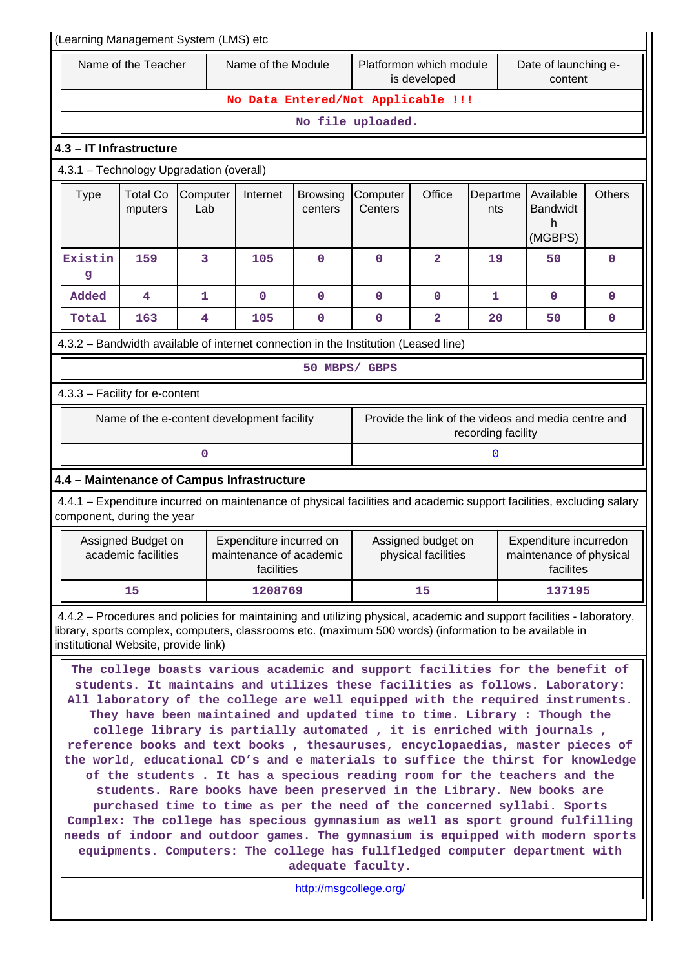| (Learning Management System (LMS) etc                                                                                                                                                                                                                                                                                                                                                                                                                                                                                                                                                                                                                                                                                                                                                                                                                                                                                                                                                                                                                                                                                                                 |                                           |                 |                                                                  |                            |                                                                                                                                                                                                                                  |                         |                 |                                                                |               |
|-------------------------------------------------------------------------------------------------------------------------------------------------------------------------------------------------------------------------------------------------------------------------------------------------------------------------------------------------------------------------------------------------------------------------------------------------------------------------------------------------------------------------------------------------------------------------------------------------------------------------------------------------------------------------------------------------------------------------------------------------------------------------------------------------------------------------------------------------------------------------------------------------------------------------------------------------------------------------------------------------------------------------------------------------------------------------------------------------------------------------------------------------------|-------------------------------------------|-----------------|------------------------------------------------------------------|----------------------------|----------------------------------------------------------------------------------------------------------------------------------------------------------------------------------------------------------------------------------|-------------------------|-----------------|----------------------------------------------------------------|---------------|
|                                                                                                                                                                                                                                                                                                                                                                                                                                                                                                                                                                                                                                                                                                                                                                                                                                                                                                                                                                                                                                                                                                                                                       | Name of the Teacher                       |                 | Name of the Module                                               |                            | Platformon which module<br>is developed                                                                                                                                                                                          |                         |                 | Date of launching e-<br>content                                |               |
|                                                                                                                                                                                                                                                                                                                                                                                                                                                                                                                                                                                                                                                                                                                                                                                                                                                                                                                                                                                                                                                                                                                                                       |                                           |                 |                                                                  |                            | No Data Entered/Not Applicable !!!                                                                                                                                                                                               |                         |                 |                                                                |               |
|                                                                                                                                                                                                                                                                                                                                                                                                                                                                                                                                                                                                                                                                                                                                                                                                                                                                                                                                                                                                                                                                                                                                                       |                                           |                 |                                                                  |                            | No file uploaded.                                                                                                                                                                                                                |                         |                 |                                                                |               |
| 4.3 - IT Infrastructure                                                                                                                                                                                                                                                                                                                                                                                                                                                                                                                                                                                                                                                                                                                                                                                                                                                                                                                                                                                                                                                                                                                               |                                           |                 |                                                                  |                            |                                                                                                                                                                                                                                  |                         |                 |                                                                |               |
| 4.3.1 - Technology Upgradation (overall)                                                                                                                                                                                                                                                                                                                                                                                                                                                                                                                                                                                                                                                                                                                                                                                                                                                                                                                                                                                                                                                                                                              |                                           |                 |                                                                  |                            |                                                                                                                                                                                                                                  |                         |                 |                                                                |               |
| <b>Type</b>                                                                                                                                                                                                                                                                                                                                                                                                                                                                                                                                                                                                                                                                                                                                                                                                                                                                                                                                                                                                                                                                                                                                           | <b>Total Co</b><br>mputers                | Computer<br>Lab | Internet                                                         | <b>Browsing</b><br>centers | Computer<br>Centers                                                                                                                                                                                                              | Office                  | Departme<br>nts | Available<br><b>Bandwidt</b><br>h<br>(MGBPS)                   | <b>Others</b> |
| Existin<br>g                                                                                                                                                                                                                                                                                                                                                                                                                                                                                                                                                                                                                                                                                                                                                                                                                                                                                                                                                                                                                                                                                                                                          | 159                                       | 3               | 105                                                              | $\mathbf 0$                | 0                                                                                                                                                                                                                                | $\overline{a}$          | 19              | 50                                                             | $\mathbf 0$   |
| Added                                                                                                                                                                                                                                                                                                                                                                                                                                                                                                                                                                                                                                                                                                                                                                                                                                                                                                                                                                                                                                                                                                                                                 | 4                                         | $\mathbf{1}$    | $\mathbf 0$                                                      | $\mathbf{O}$               | $\mathbf 0$                                                                                                                                                                                                                      | $\mathbf 0$             | $\mathbf{1}$    | 0                                                              | 0             |
| Total                                                                                                                                                                                                                                                                                                                                                                                                                                                                                                                                                                                                                                                                                                                                                                                                                                                                                                                                                                                                                                                                                                                                                 | 163                                       | 4               | 105                                                              | $\mathbf 0$                | $\mathbf 0$                                                                                                                                                                                                                      | $\overline{\mathbf{2}}$ | 20              | 50                                                             | 0             |
|                                                                                                                                                                                                                                                                                                                                                                                                                                                                                                                                                                                                                                                                                                                                                                                                                                                                                                                                                                                                                                                                                                                                                       |                                           |                 |                                                                  |                            | 4.3.2 - Bandwidth available of internet connection in the Institution (Leased line)                                                                                                                                              |                         |                 |                                                                |               |
|                                                                                                                                                                                                                                                                                                                                                                                                                                                                                                                                                                                                                                                                                                                                                                                                                                                                                                                                                                                                                                                                                                                                                       |                                           |                 |                                                                  | 50 MBPS/ GBPS              |                                                                                                                                                                                                                                  |                         |                 |                                                                |               |
| 4.3.3 - Facility for e-content                                                                                                                                                                                                                                                                                                                                                                                                                                                                                                                                                                                                                                                                                                                                                                                                                                                                                                                                                                                                                                                                                                                        |                                           |                 |                                                                  |                            |                                                                                                                                                                                                                                  |                         |                 |                                                                |               |
| Provide the link of the videos and media centre and<br>Name of the e-content development facility<br>recording facility                                                                                                                                                                                                                                                                                                                                                                                                                                                                                                                                                                                                                                                                                                                                                                                                                                                                                                                                                                                                                               |                                           |                 |                                                                  |                            |                                                                                                                                                                                                                                  |                         |                 |                                                                |               |
|                                                                                                                                                                                                                                                                                                                                                                                                                                                                                                                                                                                                                                                                                                                                                                                                                                                                                                                                                                                                                                                                                                                                                       |                                           | 0               |                                                                  |                            |                                                                                                                                                                                                                                  |                         | $\mathbf 0$     |                                                                |               |
|                                                                                                                                                                                                                                                                                                                                                                                                                                                                                                                                                                                                                                                                                                                                                                                                                                                                                                                                                                                                                                                                                                                                                       |                                           |                 | 4.4 - Maintenance of Campus Infrastructure                       |                            |                                                                                                                                                                                                                                  |                         |                 |                                                                |               |
| component, during the year                                                                                                                                                                                                                                                                                                                                                                                                                                                                                                                                                                                                                                                                                                                                                                                                                                                                                                                                                                                                                                                                                                                            |                                           |                 |                                                                  |                            | 4.4.1 – Expenditure incurred on maintenance of physical facilities and academic support facilities, excluding salary                                                                                                             |                         |                 |                                                                |               |
|                                                                                                                                                                                                                                                                                                                                                                                                                                                                                                                                                                                                                                                                                                                                                                                                                                                                                                                                                                                                                                                                                                                                                       | Assigned Budget on<br>academic facilities |                 | Expenditure incurred on<br>maintenance of academic<br>facilities |                            | Assigned budget on<br>physical facilities                                                                                                                                                                                        |                         |                 | Expenditure incurredon<br>maintenance of physical<br>facilites |               |
|                                                                                                                                                                                                                                                                                                                                                                                                                                                                                                                                                                                                                                                                                                                                                                                                                                                                                                                                                                                                                                                                                                                                                       | 15                                        |                 | 1208769                                                          |                            |                                                                                                                                                                                                                                  | 15                      |                 | 137195                                                         |               |
|                                                                                                                                                                                                                                                                                                                                                                                                                                                                                                                                                                                                                                                                                                                                                                                                                                                                                                                                                                                                                                                                                                                                                       |                                           |                 |                                                                  |                            | 4.4.2 - Procedures and policies for maintaining and utilizing physical, academic and support facilities - laboratory,<br>library, sports complex, computers, classrooms etc. (maximum 500 words) (information to be available in |                         |                 |                                                                |               |
| institutional Website, provide link)<br>The college boasts various academic and support facilities for the benefit of<br>students. It maintains and utilizes these facilities as follows. Laboratory:<br>All laboratory of the college are well equipped with the required instruments.<br>They have been maintained and updated time to time. Library : Though the<br>college library is partially automated, it is enriched with journals,<br>reference books and text books, thesauruses, encyclopaedias, master pieces of<br>the world, educational CD's and e materials to suffice the thirst for knowledge<br>of the students . It has a specious reading room for the teachers and the<br>students. Rare books have been preserved in the Library. New books are<br>purchased time to time as per the need of the concerned syllabi. Sports<br>Complex: The college has specious gymnasium as well as sport ground fulfilling<br>needs of indoor and outdoor games. The gymnasium is equipped with modern sports<br>equipments. Computers: The college has fullfledged computer department with<br>adequate faculty.<br>http://msgcollege.org/ |                                           |                 |                                                                  |                            |                                                                                                                                                                                                                                  |                         |                 |                                                                |               |
|                                                                                                                                                                                                                                                                                                                                                                                                                                                                                                                                                                                                                                                                                                                                                                                                                                                                                                                                                                                                                                                                                                                                                       |                                           |                 |                                                                  |                            |                                                                                                                                                                                                                                  |                         |                 |                                                                |               |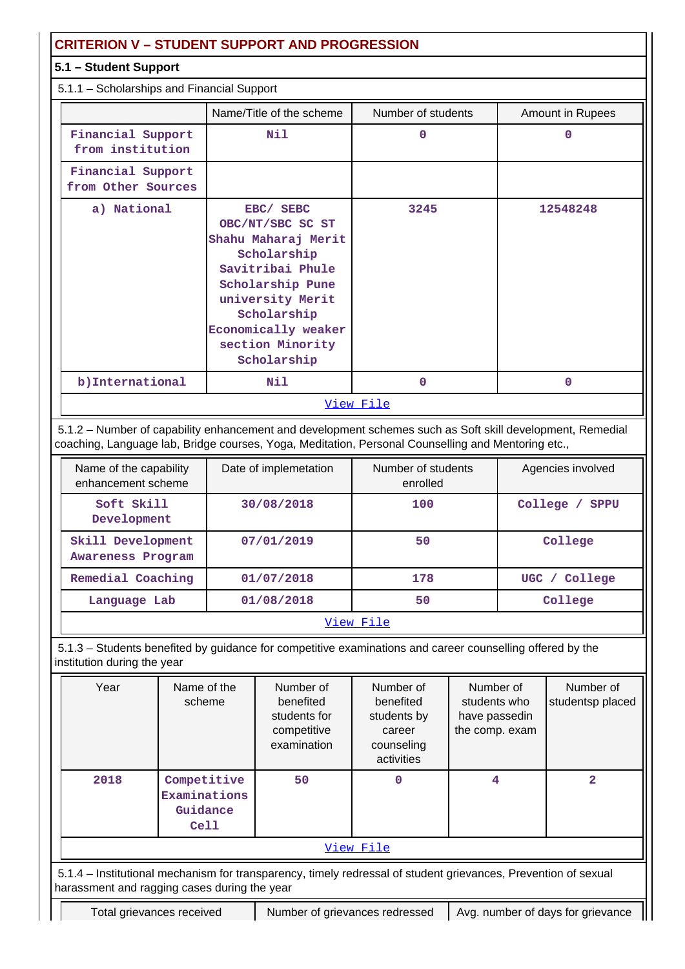## **CRITERION V – STUDENT SUPPORT AND PROGRESSION**

## **5.1 – Student Support**

5.1.1 – Scholarships and Financial Support

|                                         | Name/Title of the scheme                                                                                                                                                                                 | Number of students | Amount in Rupees |  |  |  |  |  |
|-----------------------------------------|----------------------------------------------------------------------------------------------------------------------------------------------------------------------------------------------------------|--------------------|------------------|--|--|--|--|--|
| Financial Support<br>from institution   | Nil                                                                                                                                                                                                      | $\Omega$           | 0                |  |  |  |  |  |
| Financial Support<br>from Other Sources |                                                                                                                                                                                                          |                    |                  |  |  |  |  |  |
| a) National                             | EBC/ SEBC<br>OBC/NT/SBC SC ST<br>Shahu Maharaj Merit<br>Scholarship<br>Savitribai Phule<br>Scholarship Pune<br>university Merit<br>Scholarship<br>Economically weaker<br>section Minority<br>Scholarship | 3245               | 12548248         |  |  |  |  |  |
| b) International                        | Nil                                                                                                                                                                                                      | $\mathbf 0$        | $\Omega$         |  |  |  |  |  |
|                                         |                                                                                                                                                                                                          | View File          |                  |  |  |  |  |  |

 5.1.2 – Number of capability enhancement and development schemes such as Soft skill development, Remedial coaching, Language lab, Bridge courses, Yoga, Meditation, Personal Counselling and Mentoring etc.,

| Name of the capability<br>enhancement scheme | Date of implemetation | Number of students<br>enrolled | Agencies involved        |
|----------------------------------------------|-----------------------|--------------------------------|--------------------------|
| Soft Skill<br>Development                    | 30/08/2018            | 100                            | College /<br><b>SPPU</b> |
| Skill Development<br>Awareness Program       | 07/01/2019            | 50                             | College                  |
| Remedial Coaching                            | 01/07/2018            | 178                            | UGC / College            |
| Language Lab                                 | 01/08/2018            | 50                             | College                  |

### [View File](https://assessmentonline.naac.gov.in/public/Postacc/Development_Schemes/2609_Development_Schemes_1577517806.xlsx)

 5.1.3 – Students benefited by guidance for competitive examinations and career counselling offered by the institution during the year

| Year                                                                                                                                                           | Name of the<br>scheme                           | Number of<br>benefited<br>students for<br>competitive<br>examination | Number of<br>benefited<br>students by<br>career<br>counseling<br>activities | Number of<br>students who<br>have passedin<br>the comp. exam | Number of<br>studentsp placed |  |  |  |  |
|----------------------------------------------------------------------------------------------------------------------------------------------------------------|-------------------------------------------------|----------------------------------------------------------------------|-----------------------------------------------------------------------------|--------------------------------------------------------------|-------------------------------|--|--|--|--|
| 2018                                                                                                                                                           | Competitive<br>Examinations<br>Guidance<br>Cell | 50                                                                   | 0                                                                           | 4                                                            | 2                             |  |  |  |  |
| View File                                                                                                                                                      |                                                 |                                                                      |                                                                             |                                                              |                               |  |  |  |  |
| 5.1.4 - Institutional mechanism for transparency, timely redressal of student grievances, Prevention of sexual<br>harassment and ragging cases during the year |                                                 |                                                                      |                                                                             |                                                              |                               |  |  |  |  |
|                                                                                                                                                                |                                                 |                                                                      |                                                                             |                                                              |                               |  |  |  |  |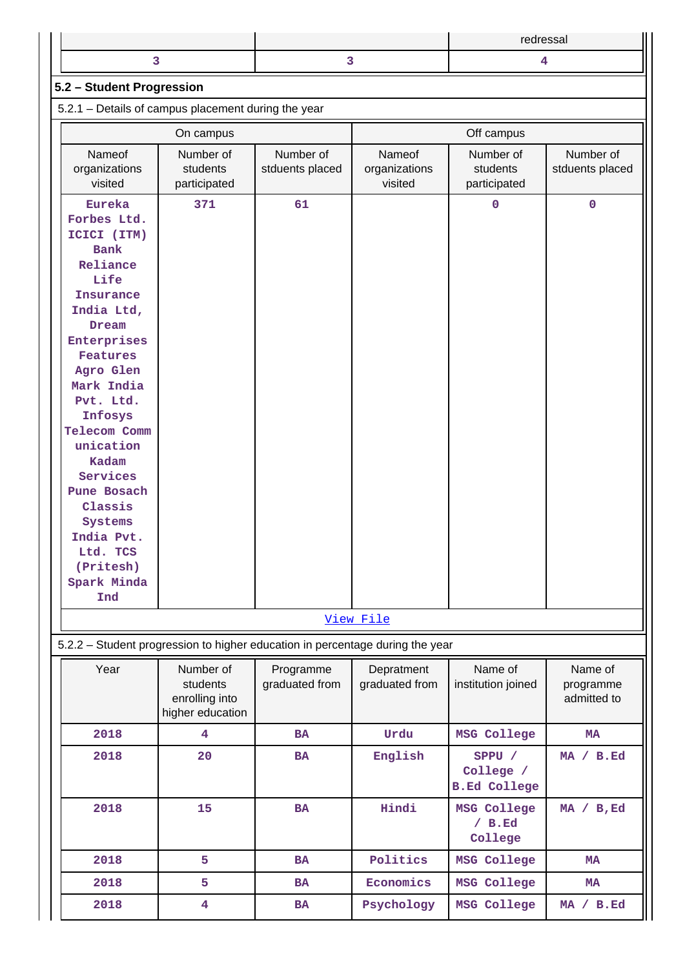|  | redressal |
|--|-----------|
|  |           |

## **5.2 – Student Progression**

5.2.1 – Details of campus placement during the year

|                                                                               | On campus               |                 | Off campus     |                     |                 |  |
|-------------------------------------------------------------------------------|-------------------------|-----------------|----------------|---------------------|-----------------|--|
| Nameof                                                                        | Number of               | Number of       | Nameof         | Number of           | Number of       |  |
| organizations                                                                 | students                | stduents placed | organizations  | students            | stduents placed |  |
| visited                                                                       | participated            |                 | visited        | participated        |                 |  |
| Eureka                                                                        | 371                     | 61              |                | $\mathbf 0$         | $\mathbf 0$     |  |
| Forbes Ltd.                                                                   |                         |                 |                |                     |                 |  |
| ICICI (ITM)                                                                   |                         |                 |                |                     |                 |  |
| <b>Bank</b>                                                                   |                         |                 |                |                     |                 |  |
| Reliance                                                                      |                         |                 |                |                     |                 |  |
| Life                                                                          |                         |                 |                |                     |                 |  |
| Insurance                                                                     |                         |                 |                |                     |                 |  |
| India Ltd,                                                                    |                         |                 |                |                     |                 |  |
| Dream                                                                         |                         |                 |                |                     |                 |  |
| Enterprises<br>Features                                                       |                         |                 |                |                     |                 |  |
| Agro Glen                                                                     |                         |                 |                |                     |                 |  |
| Mark India                                                                    |                         |                 |                |                     |                 |  |
| Pvt. Ltd.                                                                     |                         |                 |                |                     |                 |  |
| Infosys                                                                       |                         |                 |                |                     |                 |  |
| Telecom Comm                                                                  |                         |                 |                |                     |                 |  |
| unication                                                                     |                         |                 |                |                     |                 |  |
| Kadam                                                                         |                         |                 |                |                     |                 |  |
| Services                                                                      |                         |                 |                |                     |                 |  |
| Pune Bosach                                                                   |                         |                 |                |                     |                 |  |
| Classis                                                                       |                         |                 |                |                     |                 |  |
| Systems                                                                       |                         |                 |                |                     |                 |  |
| India Pvt.                                                                    |                         |                 |                |                     |                 |  |
| Ltd. TCS                                                                      |                         |                 |                |                     |                 |  |
| (Pritesh)<br>Spark Minda                                                      |                         |                 |                |                     |                 |  |
| Ind                                                                           |                         |                 |                |                     |                 |  |
|                                                                               |                         |                 |                |                     |                 |  |
|                                                                               |                         |                 | View File      |                     |                 |  |
| 5.2.2 - Student progression to higher education in percentage during the year |                         |                 |                |                     |                 |  |
| Year                                                                          | Number of               | Programme       | Depratment     | Name of             | Name of         |  |
|                                                                               | students                | graduated from  | graduated from | institution joined  | programme       |  |
|                                                                               | enrolling into          |                 |                |                     | admitted to     |  |
|                                                                               | higher education        |                 |                |                     |                 |  |
| 2018                                                                          | $\overline{\mathbf{4}}$ | <b>BA</b>       | Urdu           | MSG College         | <b>MA</b>       |  |
| 2018                                                                          | 20                      | <b>BA</b>       | English        | SPPU /              | MA / B.Ed       |  |
|                                                                               |                         |                 |                | College /           |                 |  |
|                                                                               |                         |                 |                | <b>B.Ed College</b> |                 |  |
| 2018                                                                          | 15                      | <b>BA</b>       | Hindi          | MSG College         | MA / B, Ed      |  |
|                                                                               |                         |                 |                | / B. Ed             |                 |  |
|                                                                               |                         |                 |                | College             |                 |  |
| 2018                                                                          | 5                       | <b>BA</b>       | Politics       | MSG College         | <b>MA</b>       |  |
| 2018                                                                          | 5                       | <b>BA</b>       | Economics      | MSG College         | MA              |  |
| 2018                                                                          | $\overline{\mathbf{4}}$ | BA              | Psychology     | MSG College         | MA / B.Ed       |  |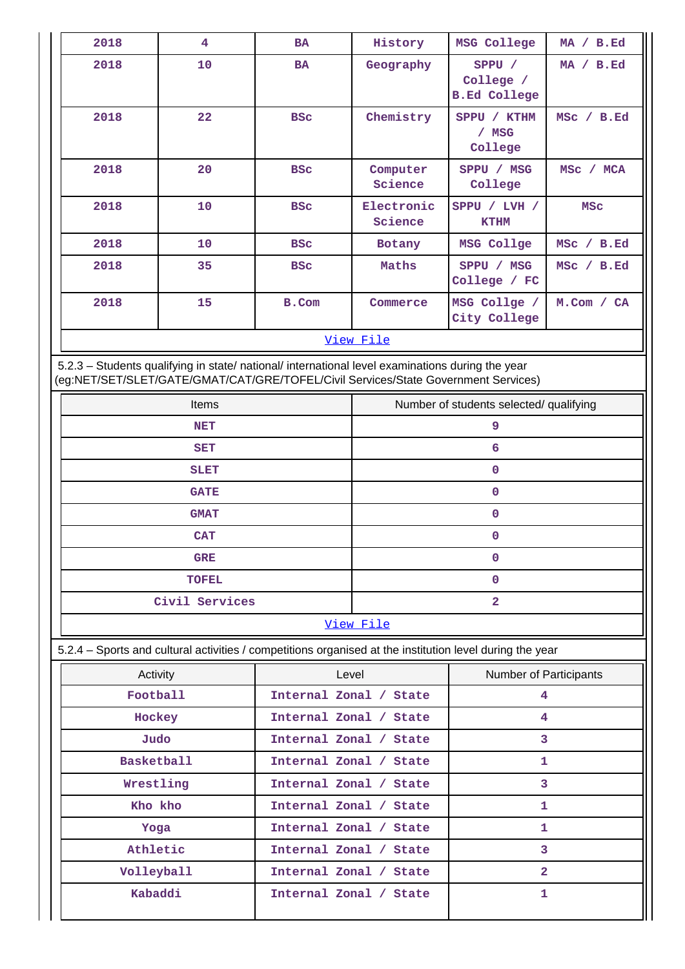| 2018 | $\overline{4}$   | <b>BA</b>                        | History                                              | MSG College                                | MA / B.Ed                       |  |  |  |  |  |
|------|------------------|----------------------------------|------------------------------------------------------|--------------------------------------------|---------------------------------|--|--|--|--|--|
| 2018 | 10               | <b>BA</b>                        | Geography                                            | SPPU /<br>College /<br><b>B.Ed College</b> | MA / B.Ed                       |  |  |  |  |  |
| 2018 | 22               | Chemistry<br><b>BSC</b><br>/ MSG |                                                      | SPPU / KTHM<br>College                     | MSC / B.Ed                      |  |  |  |  |  |
| 2018 | 20               | <b>BSC</b>                       | Computer<br>Science                                  | SPPU / MSG<br>College                      | MSc<br><b>MCA</b><br>$\sqrt{2}$ |  |  |  |  |  |
| 2018 | 10               | <b>BSC</b>                       | Electronic<br>SPPU / LVH /<br>Science<br><b>KTHM</b> |                                            | <b>MSC</b>                      |  |  |  |  |  |
| 2018 | 10               | <b>BSC</b>                       | Botany                                               | MSG Collge                                 | B.Ed<br>$MSC$ /                 |  |  |  |  |  |
| 2018 | 35               | <b>BSC</b>                       | Maths                                                | SPPU / MSG<br>College / FC                 | MSC / B.Ed                      |  |  |  |  |  |
| 2018 | 15               | B.Com                            | Commerce                                             | MSG Collge /<br>City College               | $M.$ Com / CA                   |  |  |  |  |  |
|      | <u>View File</u> |                                  |                                                      |                                            |                                 |  |  |  |  |  |

 5.2.3 – Students qualifying in state/ national/ international level examinations during the year (eg:NET/SET/SLET/GATE/GMAT/CAT/GRE/TOFEL/Civil Services/State Government Services)

| Items          | Number of students selected/ qualifying |
|----------------|-----------------------------------------|
| <b>NET</b>     | 9                                       |
| <b>SET</b>     | 6                                       |
| <b>SLET</b>    |                                         |
| <b>GATE</b>    | $\mathbf 0$                             |
| <b>GMAT</b>    |                                         |
| <b>CAT</b>     |                                         |
| <b>GRE</b>     | $\Omega$                                |
| <b>TOFEL</b>   |                                         |
| Civil Services | 2                                       |
|                |                                         |

## [View File](https://assessmentonline.naac.gov.in/public/Postacc/Qualifying/2609_Qualifying_1577527995.xlsx)

5.2.4 – Sports and cultural activities / competitions organised at the institution level during the year

| Activity          | Level                  | <b>Number of Participants</b> |
|-------------------|------------------------|-------------------------------|
| Football          | Internal Zonal / State | 4                             |
| Hockey            | Internal Zonal / State | 4                             |
| Judo              | Internal Zonal / State | 3                             |
| <b>Basketball</b> | Internal Zonal / State | 1                             |
| Wrestling         | Internal Zonal / State | 3                             |
| Kho kho           | Internal Zonal / State | 1                             |
| Yoga              | Internal Zonal / State | 1                             |
| Athletic          | Internal Zonal / State | 3                             |
| Volleyball        | Internal Zonal / State | $\overline{2}$                |
| Kabaddi           | Internal Zonal / State | 1                             |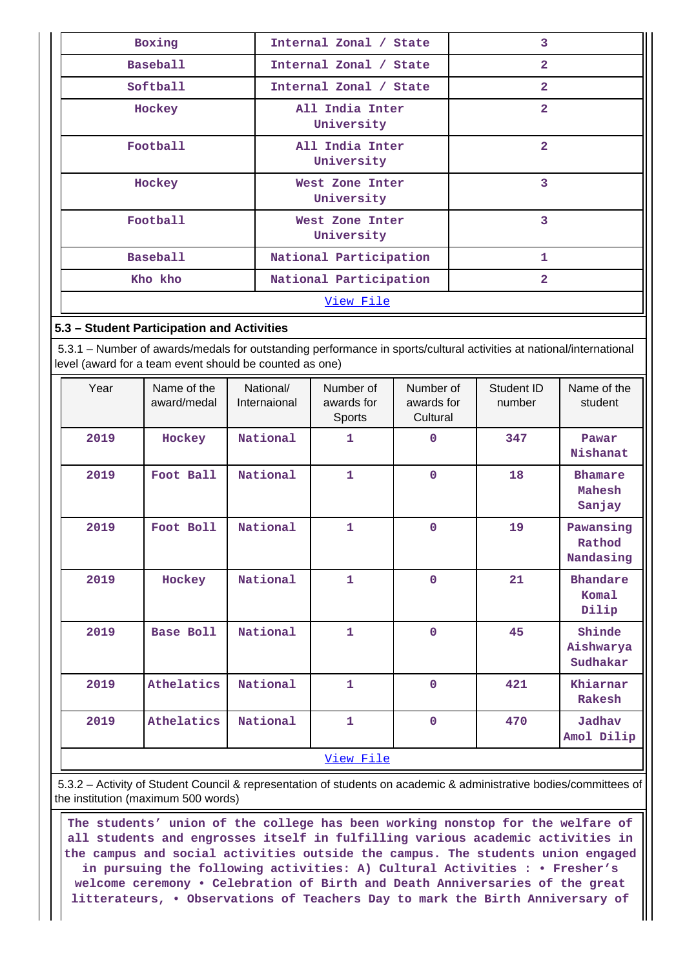| Boxing          | Internal Zonal / State        | 3              |  |  |  |
|-----------------|-------------------------------|----------------|--|--|--|
| <b>Baseball</b> | Internal Zonal / State        | $\mathbf{z}$   |  |  |  |
| Softball        | Internal Zonal / State        | $\overline{2}$ |  |  |  |
| Hockey          | All India Inter<br>University | $\overline{2}$ |  |  |  |
| Football        | All India Inter<br>University | $\overline{2}$ |  |  |  |
| Hockey          | West Zone Inter<br>University | 3              |  |  |  |
| Football        | West Zone Inter<br>University | 3              |  |  |  |
| <b>Baseball</b> | National Participation        |                |  |  |  |
| Kho kho         | National Participation        | $\overline{2}$ |  |  |  |
| View File       |                               |                |  |  |  |

## **5.3 – Student Participation and Activities**

 5.3.1 – Number of awards/medals for outstanding performance in sports/cultural activities at national/international level (award for a team event should be counted as one)

| Year | Name of the<br>award/medal | National/<br>Internaional | Number of<br>awards for<br>Sports | Number of<br>awards for<br>Cultural | Student ID<br>number | Name of the<br>student                   |
|------|----------------------------|---------------------------|-----------------------------------|-------------------------------------|----------------------|------------------------------------------|
| 2019 | Hockey                     | National                  | 1                                 | 0                                   | 347                  | Pawar<br>Nishanat                        |
| 2019 | Foot Ball                  | National                  | $\mathbf 1$                       | $\mathbf 0$                         | 18                   | <b>Bhamare</b><br>Mahesh<br>Sanjay       |
| 2019 | Foot Boll                  | National                  | $\mathbf{1}$                      | $\mathbf 0$                         | 19                   | Pawansing<br>Rathod<br>Nandasing         |
| 2019 | Hockey                     | National                  | $\mathbf 1$                       | 0                                   | 21                   | <b>Bhandare</b><br><b>Komal</b><br>Dilip |
| 2019 | <b>Base Boll</b>           | National                  | $\mathbf{1}$                      | $\mathbf 0$                         | 45                   | Shinde<br>Aishwarya<br>Sudhakar          |
| 2019 | Athelatics                 | National                  | $\mathbf{1}$                      | 0                                   | 421                  | Khiarnar<br>Rakesh                       |
| 2019 | Athelatics                 | National                  | 1                                 | 0                                   | 470                  | Jadhav<br>Amol Dilip                     |
|      |                            |                           | View File                         |                                     |                      |                                          |

 5.3.2 – Activity of Student Council & representation of students on academic & administrative bodies/committees of the institution (maximum 500 words)

 **The students' union of the college has been working nonstop for the welfare of all students and engrosses itself in fulfilling various academic activities in the campus and social activities outside the campus. The students union engaged in pursuing the following activities: A) Cultural Activities : • Fresher's welcome ceremony • Celebration of Birth and Death Anniversaries of the great litterateurs, • Observations of Teachers Day to mark the Birth Anniversary of**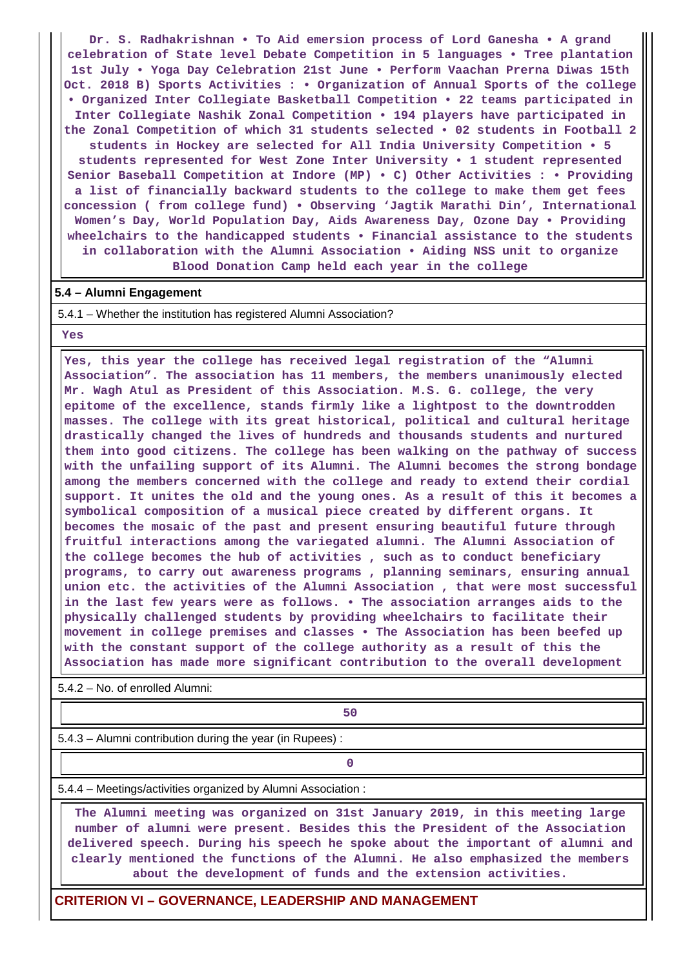**Dr. S. Radhakrishnan • To Aid emersion process of Lord Ganesha • A grand celebration of State level Debate Competition in 5 languages • Tree plantation 1st July • Yoga Day Celebration 21st June • Perform Vaachan Prerna Diwas 15th Oct. 2018 B) Sports Activities : • Organization of Annual Sports of the college • Organized Inter Collegiate Basketball Competition • 22 teams participated in Inter Collegiate Nashik Zonal Competition • 194 players have participated in the Zonal Competition of which 31 students selected • 02 students in Football 2 students in Hockey are selected for All India University Competition • 5 students represented for West Zone Inter University • 1 student represented Senior Baseball Competition at Indore (MP) • C) Other Activities : • Providing a list of financially backward students to the college to make them get fees concession ( from college fund) • Observing 'Jagtik Marathi Din', International Women's Day, World Population Day, Aids Awareness Day, Ozone Day • Providing wheelchairs to the handicapped students • Financial assistance to the students in collaboration with the Alumni Association • Aiding NSS unit to organize Blood Donation Camp held each year in the college**

#### **5.4 – Alumni Engagement**

5.4.1 – Whether the institution has registered Alumni Association?

 **Yes**

 **Yes, this year the college has received legal registration of the "Alumni Association". The association has 11 members, the members unanimously elected Mr. Wagh Atul as President of this Association. M.S. G. college, the very epitome of the excellence, stands firmly like a lightpost to the downtrodden masses. The college with its great historical, political and cultural heritage drastically changed the lives of hundreds and thousands students and nurtured them into good citizens. The college has been walking on the pathway of success with the unfailing support of its Alumni. The Alumni becomes the strong bondage among the members concerned with the college and ready to extend their cordial support. It unites the old and the young ones. As a result of this it becomes a symbolical composition of a musical piece created by different organs. It becomes the mosaic of the past and present ensuring beautiful future through fruitful interactions among the variegated alumni. The Alumni Association of the college becomes the hub of activities , such as to conduct beneficiary programs, to carry out awareness programs , planning seminars, ensuring annual union etc. the activities of the Alumni Association , that were most successful in the last few years were as follows. • The association arranges aids to the physically challenged students by providing wheelchairs to facilitate their movement in college premises and classes • The Association has been beefed up with the constant support of the college authority as a result of this the Association has made more significant contribution to the overall development**

5.4.2 – No. of enrolled Alumni:

**50** 

5.4.3 – Alumni contribution during the year (in Rupees) :

**0**

5.4.4 – Meetings/activities organized by Alumni Association :

 **The Alumni meeting was organized on 31st January 2019, in this meeting large number of alumni were present. Besides this the President of the Association delivered speech. During his speech he spoke about the important of alumni and clearly mentioned the functions of the Alumni. He also emphasized the members about the development of funds and the extension activities.**

#### **CRITERION VI – GOVERNANCE, LEADERSHIP AND MANAGEMENT**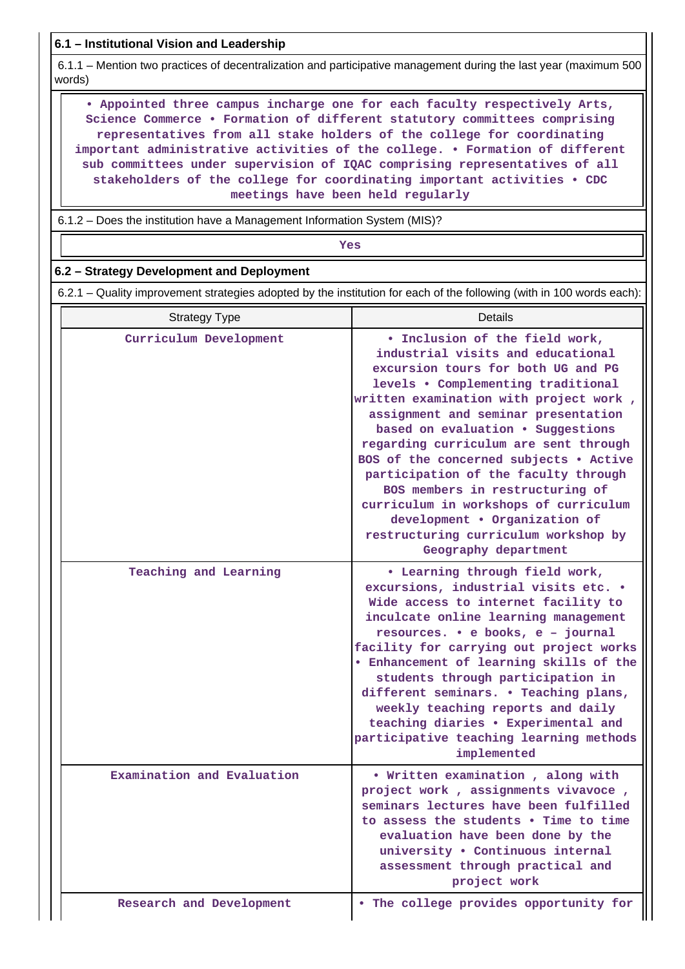**6.1 – Institutional Vision and Leadership**

 6.1.1 – Mention two practices of decentralization and participative management during the last year (maximum 500 words)

 **• Appointed three campus incharge one for each faculty respectively Arts, Science Commerce • Formation of different statutory committees comprising representatives from all stake holders of the college for coordinating important administrative activities of the college. • Formation of different sub committees under supervision of IQAC comprising representatives of all stakeholders of the college for coordinating important activities • CDC meetings have been held regularly**

6.1.2 – Does the institution have a Management Information System (MIS)?

*Yes* 

## **6.2 – Strategy Development and Deployment**

6.2.1 – Quality improvement strategies adopted by the institution for each of the following (with in 100 words each):

| <b>Strategy Type</b>       | Details                                                                                                                                                                                                                                                                                                                                                                                                                                                                                                                                                                       |
|----------------------------|-------------------------------------------------------------------------------------------------------------------------------------------------------------------------------------------------------------------------------------------------------------------------------------------------------------------------------------------------------------------------------------------------------------------------------------------------------------------------------------------------------------------------------------------------------------------------------|
| Curriculum Development     | . Inclusion of the field work,<br>industrial visits and educational<br>excursion tours for both UG and PG<br>levels . Complementing traditional<br>written examination with project work,<br>assignment and seminar presentation<br>based on evaluation . Suggestions<br>regarding curriculum are sent through<br>BOS of the concerned subjects . Active<br>participation of the faculty through<br>BOS members in restructuring of<br>curriculum in workshops of curriculum<br>development . Organization of<br>restructuring curriculum workshop by<br>Geography department |
| Teaching and Learning      | • Learning through field work,<br>excursions, industrial visits etc. .<br>Wide access to internet facility to<br>inculcate online learning management<br>resources. • e books, e - journal<br>facility for carrying out project works<br>. Enhancement of learning skills of the<br>students through participation in<br>different seminars. . Teaching plans,<br>weekly teaching reports and daily<br>teaching diaries . Experimental and<br>participative teaching learning methods<br>implemented                                                                          |
| Examination and Evaluation | • Written examination, along with<br>project work, assignments vivavoce,<br>seminars lectures have been fulfilled<br>to assess the students • Time to time<br>evaluation have been done by the<br>university . Continuous internal<br>assessment through practical and<br>project work                                                                                                                                                                                                                                                                                        |
| Research and Development   | . The college provides opportunity for                                                                                                                                                                                                                                                                                                                                                                                                                                                                                                                                        |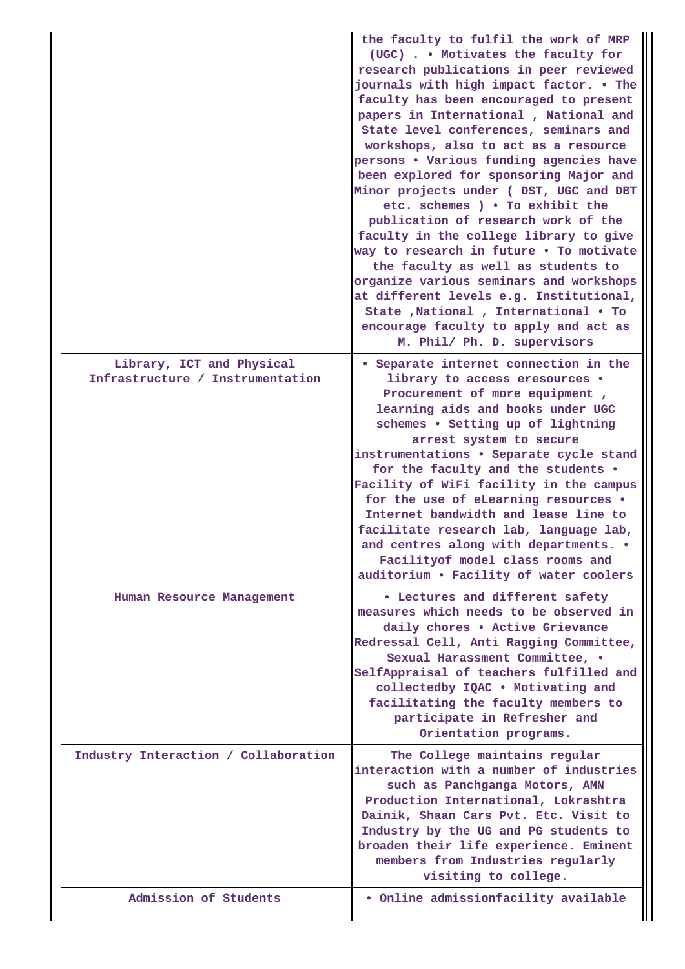|                                                               | the faculty to fulfil the work of MRP<br>(UGC) Motivates the faculty for<br>research publications in peer reviewed<br>journals with high impact factor. . The<br>faculty has been encouraged to present<br>papers in International , National and<br>State level conferences, seminars and<br>workshops, also to act as a resource<br>persons . Various funding agencies have<br>been explored for sponsoring Major and<br>Minor projects under ( DST, UGC and DBT<br>etc. schemes ) . To exhibit the<br>publication of research work of the<br>faculty in the college library to give<br>way to research in future . To motivate<br>the faculty as well as students to<br>organize various seminars and workshops<br>at different levels e.g. Institutional,<br>State , National , International . To<br>encourage faculty to apply and act as<br>M. Phil/ Ph. D. supervisors |
|---------------------------------------------------------------|--------------------------------------------------------------------------------------------------------------------------------------------------------------------------------------------------------------------------------------------------------------------------------------------------------------------------------------------------------------------------------------------------------------------------------------------------------------------------------------------------------------------------------------------------------------------------------------------------------------------------------------------------------------------------------------------------------------------------------------------------------------------------------------------------------------------------------------------------------------------------------|
| Library, ICT and Physical<br>Infrastructure / Instrumentation | • Separate internet connection in the<br>library to access eresources .<br>Procurement of more equipment,<br>learning aids and books under UGC<br>schemes . Setting up of lightning<br>arrest system to secure<br>instrumentations . Separate cycle stand<br>for the faculty and the students .<br>Facility of WiFi facility in the campus<br>for the use of eLearning resources .                                                                                                                                                                                                                                                                                                                                                                                                                                                                                             |
|                                                               | Internet bandwidth and lease line to<br>facilitate research lab, language lab,<br>and centres along with departments. .<br>Facilityof model class rooms and<br>auditorium . Facility of water coolers                                                                                                                                                                                                                                                                                                                                                                                                                                                                                                                                                                                                                                                                          |
| Human Resource Management                                     | • Lectures and different safety<br>measures which needs to be observed in<br>daily chores . Active Grievance<br>Redressal Cell, Anti Ragging Committee,<br>Sexual Harassment Committee, .<br>SelfAppraisal of teachers fulfilled and<br>collectedby IQAC . Motivating and<br>facilitating the faculty members to<br>participate in Refresher and<br>Orientation programs.                                                                                                                                                                                                                                                                                                                                                                                                                                                                                                      |
| Industry Interaction / Collaboration                          | The College maintains regular<br>interaction with a number of industries<br>such as Panchganga Motors, AMN<br>Production International, Lokrashtra<br>Dainik, Shaan Cars Pvt. Etc. Visit to<br>Industry by the UG and PG students to<br>broaden their life experience. Eminent<br>members from Industries regularly<br>visiting to college.                                                                                                                                                                                                                                                                                                                                                                                                                                                                                                                                    |
| Admission of Students                                         | . Online admissionfacility available                                                                                                                                                                                                                                                                                                                                                                                                                                                                                                                                                                                                                                                                                                                                                                                                                                           |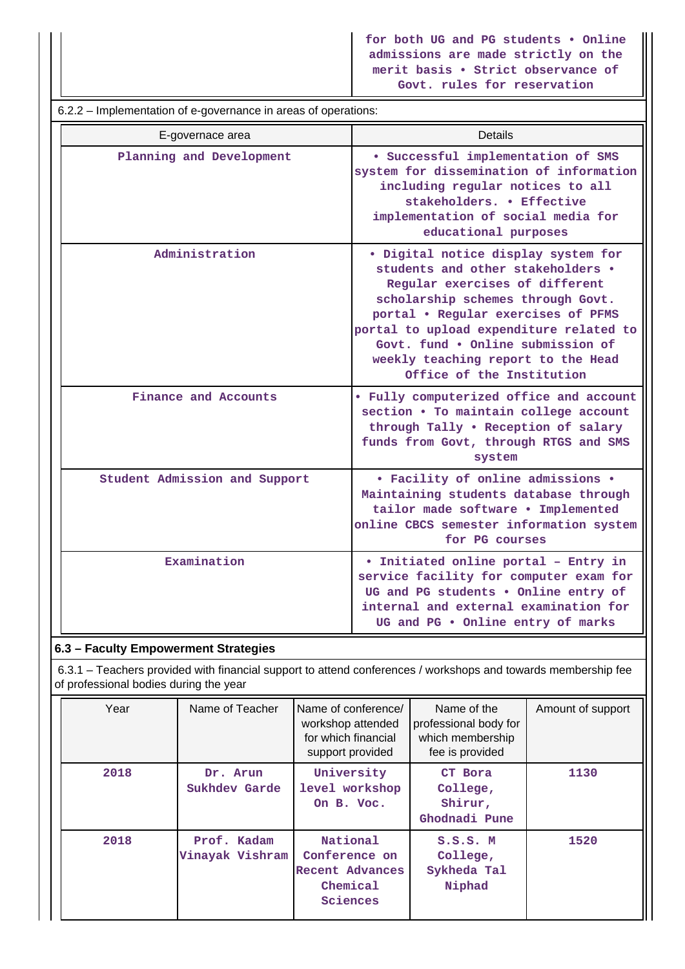**for both UG and PG students • Online admissions are made strictly on the merit basis • Strict observance of Govt. rules for reservation**

| 6.2.2 – Implementation of e-governance in areas of operations: |                                                                                                                                                                                                                                                                                                                                          |  |  |  |  |  |  |
|----------------------------------------------------------------|------------------------------------------------------------------------------------------------------------------------------------------------------------------------------------------------------------------------------------------------------------------------------------------------------------------------------------------|--|--|--|--|--|--|
| E-governace area                                               | Details                                                                                                                                                                                                                                                                                                                                  |  |  |  |  |  |  |
| Planning and Development                                       | · Successful implementation of SMS<br>system for dissemination of information<br>including regular notices to all<br>stakeholders. . Effective<br>implementation of social media for<br>educational purposes                                                                                                                             |  |  |  |  |  |  |
| Administration                                                 | · Digital notice display system for<br>students and other stakeholders .<br>Regular exercises of different<br>scholarship schemes through Govt.<br>portal . Regular exercises of PFMS<br>portal to upload expenditure related to<br>Govt. fund . Online submission of<br>weekly teaching report to the Head<br>Office of the Institution |  |  |  |  |  |  |
| Finance and Accounts                                           | • Fully computerized office and account<br>section . To maintain college account<br>through Tally . Reception of salary<br>funds from Govt, through RTGS and SMS<br>system                                                                                                                                                               |  |  |  |  |  |  |
| Student Admission and Support                                  | • Facility of online admissions •<br>Maintaining students database through<br>tailor made software . Implemented<br>online CBCS semester information system<br>for PG courses                                                                                                                                                            |  |  |  |  |  |  |
| Examination                                                    | · Initiated online portal - Entry in<br>service facility for computer exam for<br>UG and PG students . Online entry of<br>internal and external examination for<br>UG and PG . Online entry of marks                                                                                                                                     |  |  |  |  |  |  |

## **6.3 – Faculty Empowerment Strategies**

 6.3.1 – Teachers provided with financial support to attend conferences / workshops and towards membership fee of professional bodies during the year

| Year | Name of Teacher                | Name of conference/<br>workshop attended<br>for which financial<br>support provided | Name of the<br>professional body for<br>which membership<br>fee is provided | Amount of support |
|------|--------------------------------|-------------------------------------------------------------------------------------|-----------------------------------------------------------------------------|-------------------|
| 2018 | Dr. Arun<br>Sukhdev Garde      | University<br>level workshop<br>On B. Voc.                                          | CT Bora<br>College,<br>Shirur,<br>Ghodnadi Pune                             | 1130              |
| 2018 | Prof. Kadam<br>Vinayak Vishram | National<br>Conference on<br>Recent Advances<br>Chemical<br>Sciences                | S.S.S. M<br>College,<br>Sykheda Tal<br>Niphad                               | 1520              |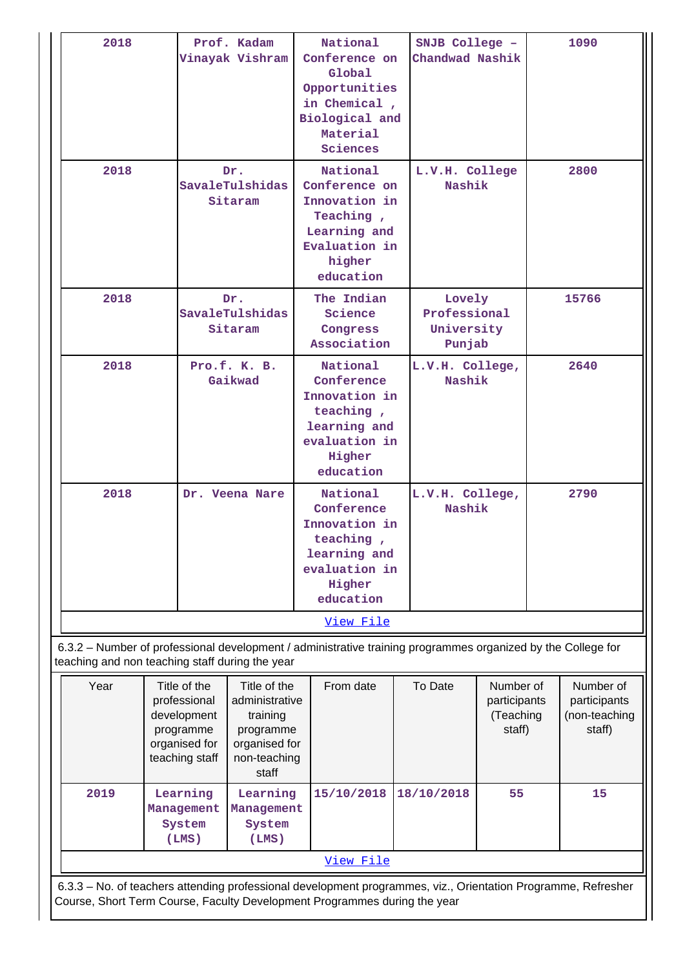| 2018                                            |                                                                                                                                                                                            | Prof. Kadam<br>Vinayak Vishram                                                                    | National<br>Conference on<br>Global<br>Opportunities<br>in Chemical,<br>Biological and<br>Material<br>Sciences  |            | SNJB College -<br>Chandwad Nashik                |  | 1090                                                 |  |       |
|-------------------------------------------------|--------------------------------------------------------------------------------------------------------------------------------------------------------------------------------------------|---------------------------------------------------------------------------------------------------|-----------------------------------------------------------------------------------------------------------------|------------|--------------------------------------------------|--|------------------------------------------------------|--|-------|
| 2018                                            |                                                                                                                                                                                            | Dr.<br>SavaleTulshidas<br>Sitaram                                                                 | National<br>Conference on<br>Innovation in<br>Teaching,<br>Learning and<br>Evaluation in<br>higher<br>education |            | L.V.H. College<br>Nashik                         |  | 2800                                                 |  |       |
| 2018                                            |                                                                                                                                                                                            | Dr.<br>SavaleTulshidas<br>Sitaram                                                                 | The Indian<br>Science<br>Congress<br>Association                                                                |            | Lovely<br>Professional<br>University<br>Punjab   |  |                                                      |  | 15766 |
| 2018                                            |                                                                                                                                                                                            | Pro.f. K. B.<br>Gaikwad                                                                           | National<br>Conference<br>Innovation in<br>teaching,<br>learning and<br>evaluation in<br>Higher<br>education    |            | L.V.H. College,<br>Nashik                        |  |                                                      |  | 2640  |
| 2018                                            |                                                                                                                                                                                            | Dr. Veena Nare                                                                                    | National<br>Conference<br>Innovation in<br>teaching,<br>learning and<br>evaluation in<br>Higher<br>education    |            | L.V.H. College,<br>Nashik                        |  | 2790                                                 |  |       |
|                                                 |                                                                                                                                                                                            |                                                                                                   | View File                                                                                                       |            |                                                  |  |                                                      |  |       |
| teaching and non teaching staff during the year |                                                                                                                                                                                            |                                                                                                   | 6.3.2 - Number of professional development / administrative training programmes organized by the College for    |            |                                                  |  |                                                      |  |       |
| Year                                            | Title of the<br>professional<br>development<br>programme<br>organised for<br>teaching staff                                                                                                | Title of the<br>administrative<br>training<br>programme<br>organised for<br>non-teaching<br>staff | From date                                                                                                       | To Date    | Number of<br>participants<br>(Teaching<br>staff) |  | Number of<br>participants<br>(non-teaching<br>staff) |  |       |
| 2019                                            | Learning<br>Learning<br>Management<br>Management<br>System<br>System<br>(LMS)<br>(LMS)                                                                                                     |                                                                                                   | 15/10/2018                                                                                                      | 18/10/2018 |                                                  |  | 15                                                   |  |       |
|                                                 |                                                                                                                                                                                            |                                                                                                   | View File                                                                                                       |            |                                                  |  |                                                      |  |       |
|                                                 | 6.3.3 - No. of teachers attending professional development programmes, viz., Orientation Programme, Refresher<br>Course, Short Term Course, Faculty Development Programmes during the year |                                                                                                   |                                                                                                                 |            |                                                  |  |                                                      |  |       |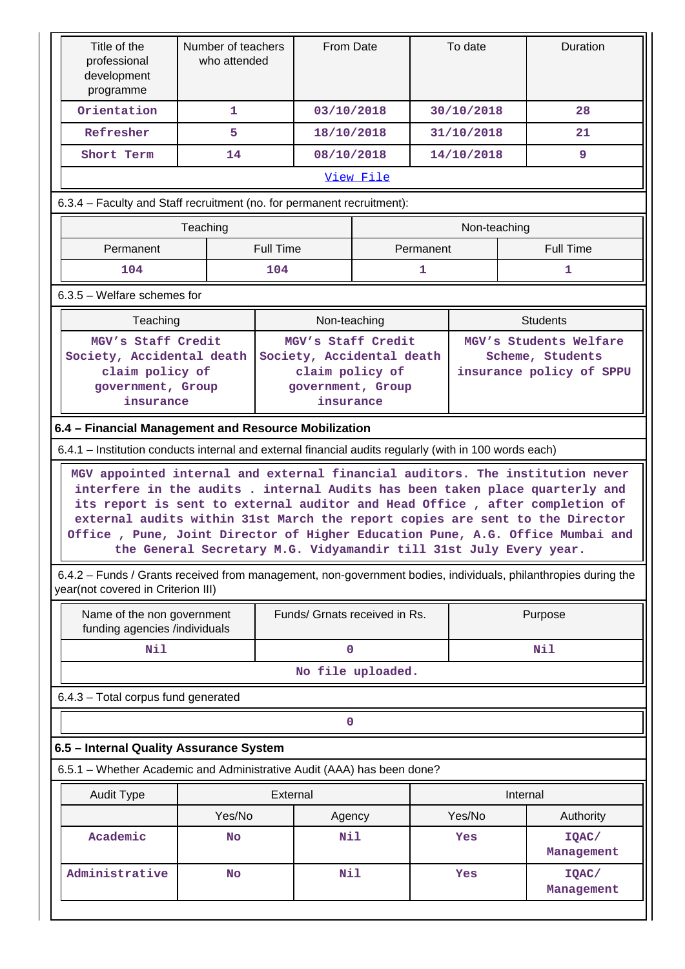| Title of the<br>professional<br>development<br>programme                                             | Number of teachers<br>who attended                                                                                                                                                                                                                                                                                                                                                                                                                                                                                                                                                                    |                  | From Date                                                                                            |           |              | To date                                                                |          | Duration            |
|------------------------------------------------------------------------------------------------------|-------------------------------------------------------------------------------------------------------------------------------------------------------------------------------------------------------------------------------------------------------------------------------------------------------------------------------------------------------------------------------------------------------------------------------------------------------------------------------------------------------------------------------------------------------------------------------------------------------|------------------|------------------------------------------------------------------------------------------------------|-----------|--------------|------------------------------------------------------------------------|----------|---------------------|
| Orientation                                                                                          | 1                                                                                                                                                                                                                                                                                                                                                                                                                                                                                                                                                                                                     |                  | 03/10/2018                                                                                           |           |              | 30/10/2018                                                             |          | 28                  |
| Refresher                                                                                            | 5                                                                                                                                                                                                                                                                                                                                                                                                                                                                                                                                                                                                     |                  | 18/10/2018                                                                                           |           |              | 31/10/2018                                                             |          | 21                  |
| Short Term                                                                                           | 14                                                                                                                                                                                                                                                                                                                                                                                                                                                                                                                                                                                                    |                  | 08/10/2018                                                                                           |           |              | 14/10/2018                                                             |          | 9                   |
|                                                                                                      |                                                                                                                                                                                                                                                                                                                                                                                                                                                                                                                                                                                                       |                  |                                                                                                      | View File |              |                                                                        |          |                     |
| 6.3.4 - Faculty and Staff recruitment (no. for permanent recruitment):                               |                                                                                                                                                                                                                                                                                                                                                                                                                                                                                                                                                                                                       |                  |                                                                                                      |           |              |                                                                        |          |                     |
|                                                                                                      | Teaching                                                                                                                                                                                                                                                                                                                                                                                                                                                                                                                                                                                              |                  |                                                                                                      |           |              | Non-teaching                                                           |          |                     |
| Permanent                                                                                            |                                                                                                                                                                                                                                                                                                                                                                                                                                                                                                                                                                                                       | <b>Full Time</b> |                                                                                                      |           | Permanent    |                                                                        |          | <b>Full Time</b>    |
| 104                                                                                                  |                                                                                                                                                                                                                                                                                                                                                                                                                                                                                                                                                                                                       | 104              |                                                                                                      |           | $\mathbf{1}$ |                                                                        |          | 1                   |
| 6.3.5 - Welfare schemes for                                                                          |                                                                                                                                                                                                                                                                                                                                                                                                                                                                                                                                                                                                       |                  |                                                                                                      |           |              |                                                                        |          |                     |
| Teaching<br>Non-teaching<br><b>Students</b>                                                          |                                                                                                                                                                                                                                                                                                                                                                                                                                                                                                                                                                                                       |                  |                                                                                                      |           |              |                                                                        |          |                     |
| MGV's Staff Credit<br>Society, Accidental death<br>claim policy of<br>government, Group<br>insurance |                                                                                                                                                                                                                                                                                                                                                                                                                                                                                                                                                                                                       |                  | MGV's Staff Credit<br>Society, Accidental death<br>claim policy of<br>government, Group<br>insurance |           |              | MGV's Students Welfare<br>Scheme, Students<br>insurance policy of SPPU |          |                     |
|                                                                                                      |                                                                                                                                                                                                                                                                                                                                                                                                                                                                                                                                                                                                       |                  |                                                                                                      |           |              |                                                                        |          |                     |
|                                                                                                      | 6.4 - Financial Management and Resource Mobilization<br>6.4.1 – Institution conducts internal and external financial audits regularly (with in 100 words each)                                                                                                                                                                                                                                                                                                                                                                                                                                        |                  |                                                                                                      |           |              |                                                                        |          |                     |
| year(not covered in Criterion III)                                                                   | MGV appointed internal and external financial auditors. The institution never<br>interfere in the audits . internal Audits has been taken place quarterly and<br>its report is sent to external auditor and Head Office, after completion of<br>external audits within 31st March the report copies are sent to the Director<br>Office , Pune, Joint Director of Higher Education Pune, A.G. Office Mumbai and<br>the General Secretary M.G. Vidyamandir till 31st July Every year.<br>6.4.2 - Funds / Grants received from management, non-government bodies, individuals, philanthropies during the |                  |                                                                                                      |           |              |                                                                        |          |                     |
| Name of the non government                                                                           |                                                                                                                                                                                                                                                                                                                                                                                                                                                                                                                                                                                                       |                  | Funds/ Grnats received in Rs.                                                                        |           |              |                                                                        |          | Purpose             |
| funding agencies /individuals                                                                        |                                                                                                                                                                                                                                                                                                                                                                                                                                                                                                                                                                                                       |                  |                                                                                                      |           |              |                                                                        |          |                     |
| Nil                                                                                                  |                                                                                                                                                                                                                                                                                                                                                                                                                                                                                                                                                                                                       |                  | $\mathbf 0$                                                                                          |           |              |                                                                        |          | Nil                 |
|                                                                                                      |                                                                                                                                                                                                                                                                                                                                                                                                                                                                                                                                                                                                       |                  | No file uploaded.                                                                                    |           |              |                                                                        |          |                     |
| 6.4.3 - Total corpus fund generated                                                                  |                                                                                                                                                                                                                                                                                                                                                                                                                                                                                                                                                                                                       |                  |                                                                                                      |           |              |                                                                        |          |                     |
|                                                                                                      |                                                                                                                                                                                                                                                                                                                                                                                                                                                                                                                                                                                                       |                  | $\mathbf 0$                                                                                          |           |              |                                                                        |          |                     |
| 6.5 - Internal Quality Assurance System                                                              |                                                                                                                                                                                                                                                                                                                                                                                                                                                                                                                                                                                                       |                  |                                                                                                      |           |              |                                                                        |          |                     |
| 6.5.1 - Whether Academic and Administrative Audit (AAA) has been done?                               |                                                                                                                                                                                                                                                                                                                                                                                                                                                                                                                                                                                                       |                  |                                                                                                      |           |              |                                                                        |          |                     |
| <b>Audit Type</b>                                                                                    |                                                                                                                                                                                                                                                                                                                                                                                                                                                                                                                                                                                                       | External         |                                                                                                      |           |              |                                                                        | Internal |                     |
|                                                                                                      | Yes/No                                                                                                                                                                                                                                                                                                                                                                                                                                                                                                                                                                                                |                  | Agency                                                                                               | Yes/No    |              | Authority                                                              |          |                     |
| Academic                                                                                             | <b>No</b>                                                                                                                                                                                                                                                                                                                                                                                                                                                                                                                                                                                             |                  | Nil                                                                                                  |           |              | Yes                                                                    |          | IQAC/<br>Management |
| Administrative                                                                                       | <b>No</b>                                                                                                                                                                                                                                                                                                                                                                                                                                                                                                                                                                                             |                  | Nil                                                                                                  |           |              | Yes                                                                    |          | IQAC/<br>Management |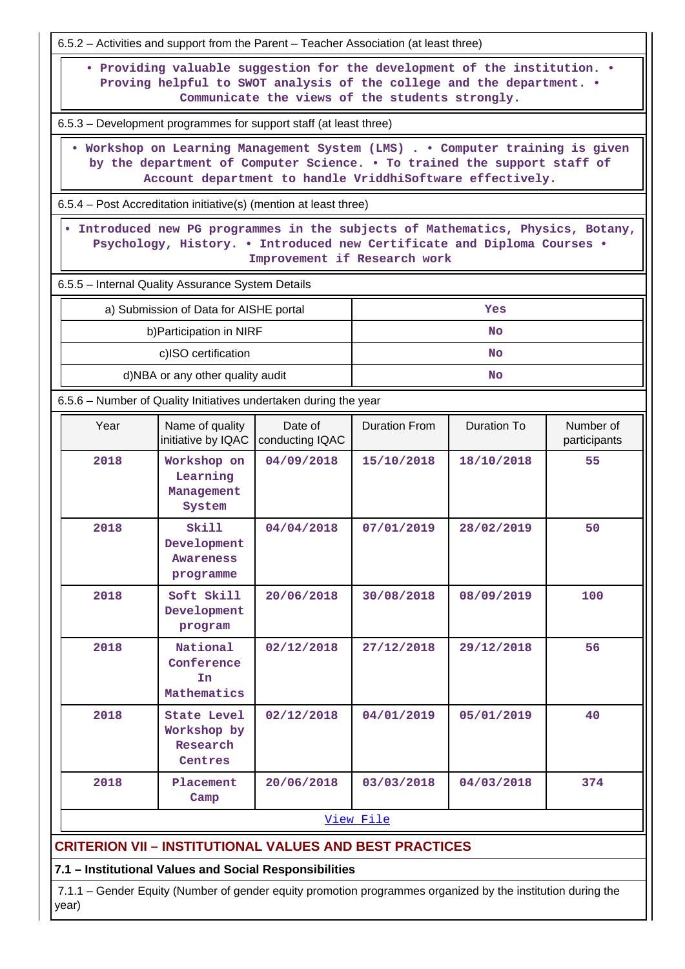|                                                                                                                                                                                                                    |                                                                                                                                                                                            | 6.5.2 - Activities and support from the Parent - Teacher Association (at least three) |                      |             |                           |  |  |  |
|--------------------------------------------------------------------------------------------------------------------------------------------------------------------------------------------------------------------|--------------------------------------------------------------------------------------------------------------------------------------------------------------------------------------------|---------------------------------------------------------------------------------------|----------------------|-------------|---------------------------|--|--|--|
| • Providing valuable suggestion for the development of the institution. •<br>Proving helpful to SWOT analysis of the college and the department. .<br>Communicate the views of the students strongly.              |                                                                                                                                                                                            |                                                                                       |                      |             |                           |  |  |  |
|                                                                                                                                                                                                                    |                                                                                                                                                                                            | 6.5.3 – Development programmes for support staff (at least three)                     |                      |             |                           |  |  |  |
| . Workshop on Learning Management System (LMS) Computer training is given<br>by the department of Computer Science. . To trained the support staff of<br>Account department to handle VriddhiSoftware effectively. |                                                                                                                                                                                            |                                                                                       |                      |             |                           |  |  |  |
| 6.5.4 – Post Accreditation initiative(s) (mention at least three)                                                                                                                                                  |                                                                                                                                                                                            |                                                                                       |                      |             |                           |  |  |  |
|                                                                                                                                                                                                                    | . Introduced new PG programmes in the subjects of Mathematics, Physics, Botany,<br>Psychology, History. . Introduced new Certificate and Diploma Courses .<br>Improvement if Research work |                                                                                       |                      |             |                           |  |  |  |
|                                                                                                                                                                                                                    | 6.5.5 - Internal Quality Assurance System Details                                                                                                                                          |                                                                                       |                      |             |                           |  |  |  |
|                                                                                                                                                                                                                    | a) Submission of Data for AISHE portal                                                                                                                                                     |                                                                                       |                      | Yes         |                           |  |  |  |
|                                                                                                                                                                                                                    | b) Participation in NIRF<br><b>No</b>                                                                                                                                                      |                                                                                       |                      |             |                           |  |  |  |
| c)ISO certification<br><b>No</b>                                                                                                                                                                                   |                                                                                                                                                                                            |                                                                                       |                      |             |                           |  |  |  |
| d)NBA or any other quality audit<br><b>No</b>                                                                                                                                                                      |                                                                                                                                                                                            |                                                                                       |                      |             |                           |  |  |  |
|                                                                                                                                                                                                                    |                                                                                                                                                                                            | 6.5.6 – Number of Quality Initiatives undertaken during the year                      |                      |             |                           |  |  |  |
| Year                                                                                                                                                                                                               | Name of quality<br>initiative by IQAC                                                                                                                                                      | Date of<br>conducting IQAC                                                            | <b>Duration From</b> | Duration To | Number of<br>participants |  |  |  |
| 2018                                                                                                                                                                                                               | Workshop on<br>Learning<br>Management<br>System                                                                                                                                            | 04/09/2018                                                                            | 15/10/2018           | 18/10/2018  | 55                        |  |  |  |
| 2018                                                                                                                                                                                                               | Skill<br>Development<br>Awareness<br>programme                                                                                                                                             | 04/04/2018                                                                            | 07/01/2019           | 28/02/2019  | 50                        |  |  |  |
| 2018                                                                                                                                                                                                               | Soft Skill<br>Development<br>program                                                                                                                                                       | 20/06/2018                                                                            | 30/08/2018           | 08/09/2019  | 100                       |  |  |  |
| 2018                                                                                                                                                                                                               | National<br>02/12/2018<br>27/12/2018<br>29/12/2018<br>56<br>Conference<br>In<br>Mathematics                                                                                                |                                                                                       |                      |             |                           |  |  |  |
| 2018                                                                                                                                                                                                               | State Level<br>Workshop by<br>Research<br>Centres                                                                                                                                          | 02/12/2018                                                                            | 04/01/2019           | 05/01/2019  | 40                        |  |  |  |
| 2018                                                                                                                                                                                                               | Placement<br>Camp                                                                                                                                                                          | 20/06/2018                                                                            | 03/03/2018           | 04/03/2018  | 374                       |  |  |  |
|                                                                                                                                                                                                                    |                                                                                                                                                                                            |                                                                                       | View File            |             |                           |  |  |  |
| <b>CRITERION VII – INSTITUTIONAL VALUES AND BEST PRACTICES</b>                                                                                                                                                     |                                                                                                                                                                                            |                                                                                       |                      |             |                           |  |  |  |
| 7.1 - Institutional Values and Social Responsibilities                                                                                                                                                             |                                                                                                                                                                                            |                                                                                       |                      |             |                           |  |  |  |

 7.1.1 – Gender Equity (Number of gender equity promotion programmes organized by the institution during the year)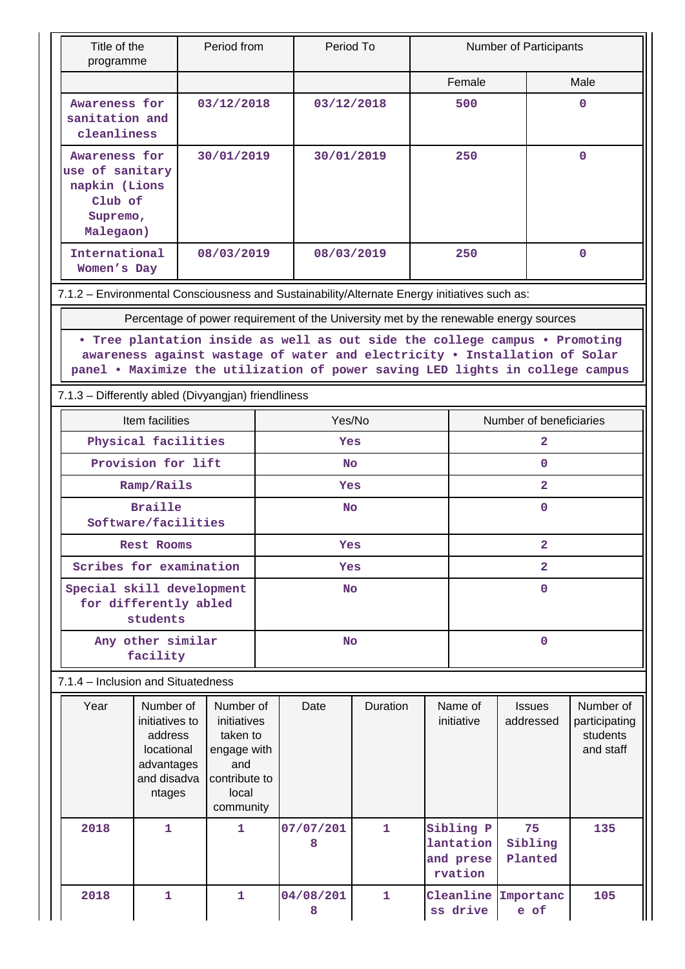| Title of the<br>programme                                                                    |                                                                                                                                                                                                                                            | Period from                                                                                       |            | Period To      |              |             | Number of Participants                                                     |                                                                                       |                                                     |  |
|----------------------------------------------------------------------------------------------|--------------------------------------------------------------------------------------------------------------------------------------------------------------------------------------------------------------------------------------------|---------------------------------------------------------------------------------------------------|------------|----------------|--------------|-------------|----------------------------------------------------------------------------|---------------------------------------------------------------------------------------|-----------------------------------------------------|--|
|                                                                                              |                                                                                                                                                                                                                                            |                                                                                                   |            |                |              |             | Female                                                                     |                                                                                       | Male                                                |  |
| Awareness for<br>sanitation and<br>cleanliness                                               |                                                                                                                                                                                                                                            | 03/12/2018                                                                                        |            | 03/12/2018     |              |             | 500                                                                        |                                                                                       | 0                                                   |  |
| Awareness for<br>use of sanitary<br>napkin (Lions<br>Club of<br>Supremo,<br>Malegaon)        |                                                                                                                                                                                                                                            | 30/01/2019                                                                                        |            | 30/01/2019     |              |             | 250                                                                        |                                                                                       | 0                                                   |  |
| International<br>Women's Day                                                                 |                                                                                                                                                                                                                                            | 08/03/2019                                                                                        |            | 08/03/2019     |              | 250         |                                                                            | $\mathbf{O}$                                                                          |                                                     |  |
| 7.1.2 - Environmental Consciousness and Sustainability/Alternate Energy initiatives such as: |                                                                                                                                                                                                                                            |                                                                                                   |            |                |              |             |                                                                            |                                                                                       |                                                     |  |
|                                                                                              |                                                                                                                                                                                                                                            |                                                                                                   |            |                |              |             |                                                                            | Percentage of power requirement of the University met by the renewable energy sources |                                                     |  |
|                                                                                              | . Tree plantation inside as well as out side the college campus . Promoting<br>awareness against wastage of water and electricity . Installation of Solar<br>panel . Maximize the utilization of power saving LED lights in college campus |                                                                                                   |            |                |              |             |                                                                            |                                                                                       |                                                     |  |
| 7.1.3 - Differently abled (Divyangjan) friendliness                                          |                                                                                                                                                                                                                                            |                                                                                                   |            |                |              |             |                                                                            |                                                                                       |                                                     |  |
|                                                                                              | Item facilities                                                                                                                                                                                                                            |                                                                                                   |            | Yes/No         |              |             |                                                                            | Number of beneficiaries                                                               |                                                     |  |
| Physical facilities                                                                          |                                                                                                                                                                                                                                            |                                                                                                   | <b>Yes</b> |                |              |             | 2                                                                          |                                                                                       |                                                     |  |
| Provision for lift                                                                           |                                                                                                                                                                                                                                            |                                                                                                   | <b>No</b>  |                |              |             | 0                                                                          |                                                                                       |                                                     |  |
| Ramp/Rails                                                                                   |                                                                                                                                                                                                                                            |                                                                                                   | Yes        |                |              |             |                                                                            | $\overline{\mathbf{2}}$                                                               |                                                     |  |
| <b>Braille</b><br>Software/facilities                                                        |                                                                                                                                                                                                                                            |                                                                                                   | No         |                |              |             | 0                                                                          |                                                                                       |                                                     |  |
| Rest Rooms                                                                                   |                                                                                                                                                                                                                                            | Yes                                                                                               |            |                | 2            |             |                                                                            |                                                                                       |                                                     |  |
|                                                                                              | Scribes for examination                                                                                                                                                                                                                    |                                                                                                   |            | Yes            |              |             |                                                                            | $\overline{2}$                                                                        |                                                     |  |
| Special skill development<br>for differently abled<br>students                               |                                                                                                                                                                                                                                            |                                                                                                   | <b>No</b>  |                |              | $\mathbf 0$ |                                                                            |                                                                                       |                                                     |  |
|                                                                                              | Any other similar<br>facility                                                                                                                                                                                                              |                                                                                                   |            | <b>No</b>      |              |             |                                                                            | $\mathbf 0$                                                                           |                                                     |  |
|                                                                                              | 7.1.4 - Inclusion and Situatedness                                                                                                                                                                                                         |                                                                                                   |            |                |              |             |                                                                            |                                                                                       |                                                     |  |
| Year                                                                                         | Number of<br>initiatives to<br>address<br>locational<br>advantages<br>and disadva<br>ntages                                                                                                                                                | Number of<br>initiatives<br>taken to<br>engage with<br>and<br>contribute to<br>local<br>community |            | Date           | Duration     |             | Name of<br><b>Issues</b><br>initiative<br>addressed                        |                                                                                       | Number of<br>participating<br>students<br>and staff |  |
| 2018                                                                                         | $\mathbf{1}$                                                                                                                                                                                                                               | 1                                                                                                 |            | 07/07/201<br>8 | 1            |             | Sibling P<br>75<br>lantation<br>Sibling<br>and prese<br>Planted<br>rvation |                                                                                       | 135                                                 |  |
| 2018                                                                                         | $\mathbf{1}$                                                                                                                                                                                                                               | $\mathbf{1}$                                                                                      |            | 04/08/201<br>8 | $\mathbf{1}$ |             | Cleanline<br>ss drive                                                      | Importanc<br>e of                                                                     | 105                                                 |  |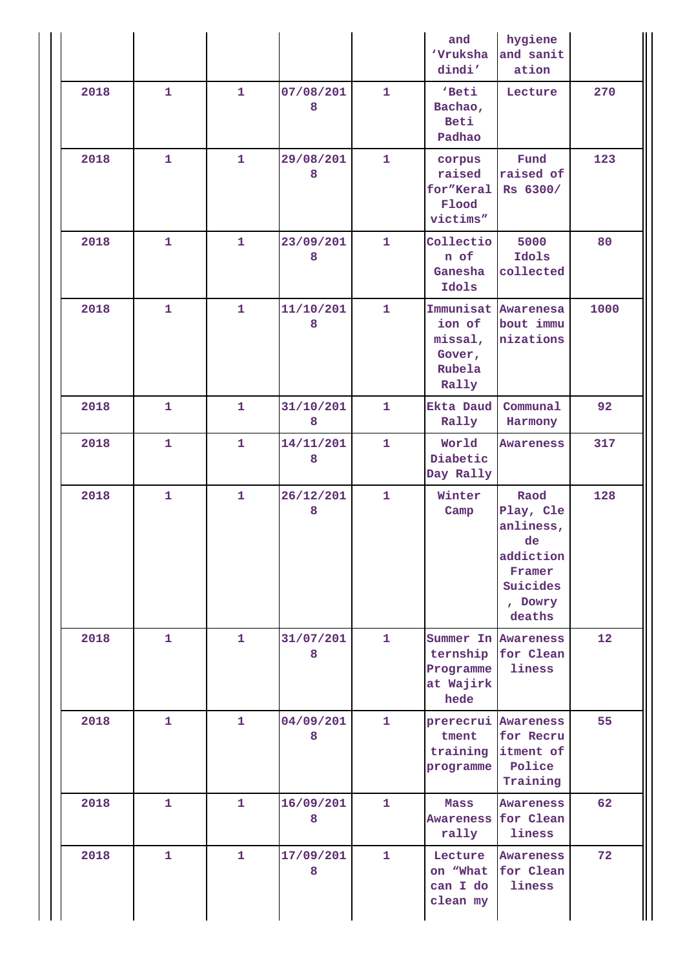|      |              |              |                |              | and<br><b>Vruksha</b><br>dindi'                       | hygiene<br>and sanit<br>ation                                                                |      |
|------|--------------|--------------|----------------|--------------|-------------------------------------------------------|----------------------------------------------------------------------------------------------|------|
| 2018 | $\mathbf{1}$ | $\mathbf{1}$ | 07/08/201<br>8 | $\mathbf{1}$ | 'Beti<br>Bachao,<br><b>Beti</b><br>Padhao             | Lecture                                                                                      | 270  |
| 2018 | $\mathbf{1}$ | $\mathbf{1}$ | 29/08/201<br>8 | $\mathbf{1}$ | corpus<br>raised<br>for"Keral<br>Flood<br>victims"    | Fund<br>raised of<br>Rs 6300/                                                                | 123  |
| 2018 | $\mathbf{1}$ | $\mathbf{1}$ | 23/09/201<br>8 | $\mathbf{1}$ | Collectio<br>n of<br>Ganesha<br>Idols                 | 5000<br>Idols<br>collected                                                                   | 80   |
| 2018 | $\mathbf{1}$ | $\mathbf{1}$ | 11/10/201<br>8 | 1            | ion of<br>missal,<br>Gover,<br>Rubela<br>Rally        | Immunisat Awarenesa<br>bout immu<br>nizations                                                | 1000 |
| 2018 | 1            | 1            | 31/10/201<br>8 | 1            | Ekta Daud<br>Rally                                    | Communal<br>Harmony                                                                          | 92   |
| 2018 | $\mathbf{1}$ | $\mathbf{1}$ | 14/11/201<br>8 | 1            | World<br>Diabetic<br>Day Rally                        | Awareness                                                                                    | 317  |
| 2018 | $\mathbf{1}$ | $\mathbf{1}$ | 26/12/201<br>8 | $\mathbf{1}$ | Winter<br>Camp                                        | Raod<br>Play, Cle<br>anliness,<br>de<br>addiction<br>Framer<br>Suicides<br>, Dowry<br>deaths | 128  |
| 2018 | $\mathbf{1}$ | $\mathbf{1}$ | 31/07/201<br>8 | $\mathbf{1}$ | ternship<br>Programme<br>at Wajirk<br>hede            | Summer In Awareness<br>for Clean<br>liness                                                   | 12   |
| 2018 | $\mathbf{1}$ | $\mathbf{1}$ | 04/09/201<br>8 | $\mathbf{1}$ | prerecrui Awareness<br>tment<br>training<br>programme | for Recru<br>itment of<br>Police<br>Training                                                 | 55   |
| 2018 | $\mathbf{1}$ | $\mathbf{1}$ | 16/09/201<br>8 | $\mathbf{1}$ | Mass<br>rally                                         | Awareness<br>Awareness for Clean<br>liness                                                   | 62   |
| 2018 | $\mathbf{1}$ | $\mathbf{1}$ | 17/09/201<br>8 | $\mathbf{1}$ | Lecture<br>on "What<br>can I do<br>clean my           | Awareness<br>for Clean<br>liness                                                             | 72   |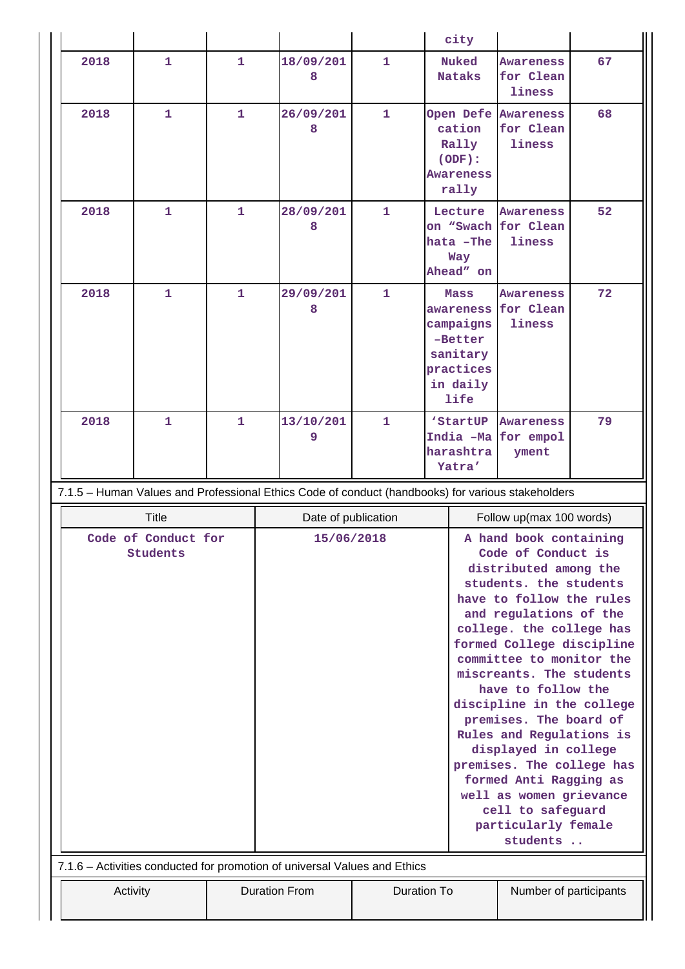|                                                                                                                                                                                                                                                                                                                                                                                                                                                                                                                                                                                        |              |              |                                                                                                   |              | city                                                                                   |                                         |    |
|----------------------------------------------------------------------------------------------------------------------------------------------------------------------------------------------------------------------------------------------------------------------------------------------------------------------------------------------------------------------------------------------------------------------------------------------------------------------------------------------------------------------------------------------------------------------------------------|--------------|--------------|---------------------------------------------------------------------------------------------------|--------------|----------------------------------------------------------------------------------------|-----------------------------------------|----|
| 2018                                                                                                                                                                                                                                                                                                                                                                                                                                                                                                                                                                                   | $\mathbf{1}$ | 1            | 18/09/201<br>8                                                                                    | $\mathbf{1}$ | <b>Nuked</b><br><b>Nataks</b>                                                          | <b>Awareness</b><br>for Clean<br>liness | 67 |
| 2018                                                                                                                                                                                                                                                                                                                                                                                                                                                                                                                                                                                   | $\mathbf{1}$ | 1            | 26/09/201<br>8                                                                                    | $\mathbf{1}$ | Open Defe Awareness<br>cation<br>Rally<br>(ODF):<br><b>Awareness</b><br>rally          | for Clean<br>liness                     | 68 |
| 2018                                                                                                                                                                                                                                                                                                                                                                                                                                                                                                                                                                                   | 1            | 1            | 28/09/201<br>8                                                                                    | $\mathbf{1}$ | Lecture<br>on "Swach for Clean<br>hata -The<br>Way<br>Ahead" on                        | <b>Awareness</b><br>liness              | 52 |
| 2018                                                                                                                                                                                                                                                                                                                                                                                                                                                                                                                                                                                   | $\mathbf{1}$ | $\mathbf{1}$ | 29/09/201<br>8                                                                                    | $\mathbf{1}$ | Mass<br>awareness<br>campaigns<br>-Better<br>sanitary<br>practices<br>in daily<br>life | <b>Awareness</b><br>for Clean<br>liness | 72 |
| 2018                                                                                                                                                                                                                                                                                                                                                                                                                                                                                                                                                                                   | $\mathbf{1}$ | 1            | 13/10/201<br>9                                                                                    | $\mathbf{1}$ | 'StartUP<br>India -Ma for empol<br>harashtra<br>Yatra'                                 | Awareness<br>yment                      | 79 |
|                                                                                                                                                                                                                                                                                                                                                                                                                                                                                                                                                                                        |              |              | 7.1.5 - Human Values and Professional Ethics Code of conduct (handbooks) for various stakeholders |              |                                                                                        |                                         |    |
| <b>Title</b>                                                                                                                                                                                                                                                                                                                                                                                                                                                                                                                                                                           |              |              | Date of publication                                                                               |              | Follow up(max 100 words)                                                               |                                         |    |
| A hand book containing<br>Code of Conduct for<br>15/06/2018<br>Code of Conduct is<br>Students<br>distributed among the<br>students. the students<br>have to follow the rules<br>and regulations of the<br>college. the college has<br>formed College discipline<br>committee to monitor the<br>miscreants. The students<br>have to follow the<br>discipline in the college<br>premises. The board of<br>Rules and Regulations is<br>displayed in college<br>premises. The college has<br>formed Anti Ragging as<br>well as women grievance<br>cell to safeguard<br>particularly female |              |              |                                                                                                   |              |                                                                                        |                                         |    |
|                                                                                                                                                                                                                                                                                                                                                                                                                                                                                                                                                                                        |              |              |                                                                                                   |              |                                                                                        | students                                |    |
|                                                                                                                                                                                                                                                                                                                                                                                                                                                                                                                                                                                        |              |              | 7.1.6 - Activities conducted for promotion of universal Values and Ethics                         |              |                                                                                        |                                         |    |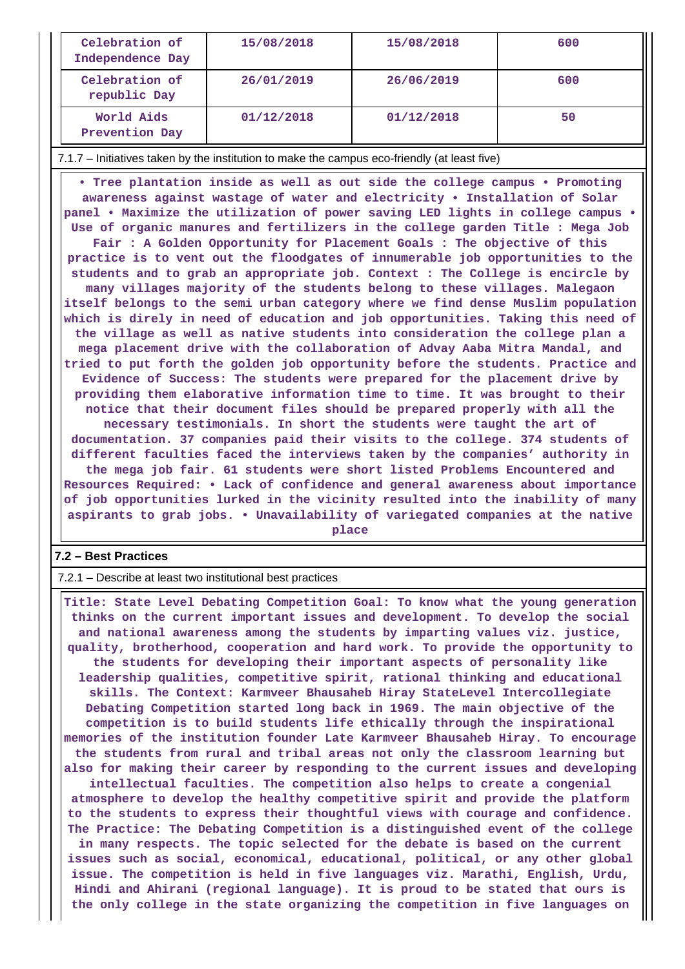| Celebration of<br>Independence Day | 15/08/2018 | 15/08/2018 | 600 |
|------------------------------------|------------|------------|-----|
| Celebration of<br>republic Day     | 26/01/2019 | 26/06/2019 | 600 |
| World Aids<br>Prevention Day       | 01/12/2018 | 01/12/2018 | 50  |

7.1.7 – Initiatives taken by the institution to make the campus eco-friendly (at least five)

 **• Tree plantation inside as well as out side the college campus • Promoting awareness against wastage of water and electricity • Installation of Solar panel • Maximize the utilization of power saving LED lights in college campus • Use of organic manures and fertilizers in the college garden Title : Mega Job Fair : A Golden Opportunity for Placement Goals : The objective of this practice is to vent out the floodgates of innumerable job opportunities to the students and to grab an appropriate job. Context : The College is encircle by many villages majority of the students belong to these villages. Malegaon itself belongs to the semi urban category where we find dense Muslim population which is direly in need of education and job opportunities. Taking this need of the village as well as native students into consideration the college plan a mega placement drive with the collaboration of Advay Aaba Mitra Mandal, and tried to put forth the golden job opportunity before the students. Practice and Evidence of Success: The students were prepared for the placement drive by providing them elaborative information time to time. It was brought to their notice that their document files should be prepared properly with all the necessary testimonials. In short the students were taught the art of documentation. 37 companies paid their visits to the college. 374 students of different faculties faced the interviews taken by the companies' authority in the mega job fair. 61 students were short listed Problems Encountered and Resources Required: • Lack of confidence and general awareness about importance of job opportunities lurked in the vicinity resulted into the inability of many aspirants to grab jobs. • Unavailability of variegated companies at the native**

**place**

### **7.2 – Best Practices**

7.2.1 – Describe at least two institutional best practices

 **Title: State Level Debating Competition Goal: To know what the young generation thinks on the current important issues and development. To develop the social and national awareness among the students by imparting values viz. justice, quality, brotherhood, cooperation and hard work. To provide the opportunity to the students for developing their important aspects of personality like leadership qualities, competitive spirit, rational thinking and educational skills. The Context: Karmveer Bhausaheb Hiray StateLevel Intercollegiate Debating Competition started long back in 1969. The main objective of the competition is to build students life ethically through the inspirational memories of the institution founder Late Karmveer Bhausaheb Hiray. To encourage the students from rural and tribal areas not only the classroom learning but also for making their career by responding to the current issues and developing intellectual faculties. The competition also helps to create a congenial atmosphere to develop the healthy competitive spirit and provide the platform to the students to express their thoughtful views with courage and confidence. The Practice: The Debating Competition is a distinguished event of the college in many respects. The topic selected for the debate is based on the current issues such as social, economical, educational, political, or any other global issue. The competition is held in five languages viz. Marathi, English, Urdu, Hindi and Ahirani (regional language). It is proud to be stated that ours is the only college in the state organizing the competition in five languages on**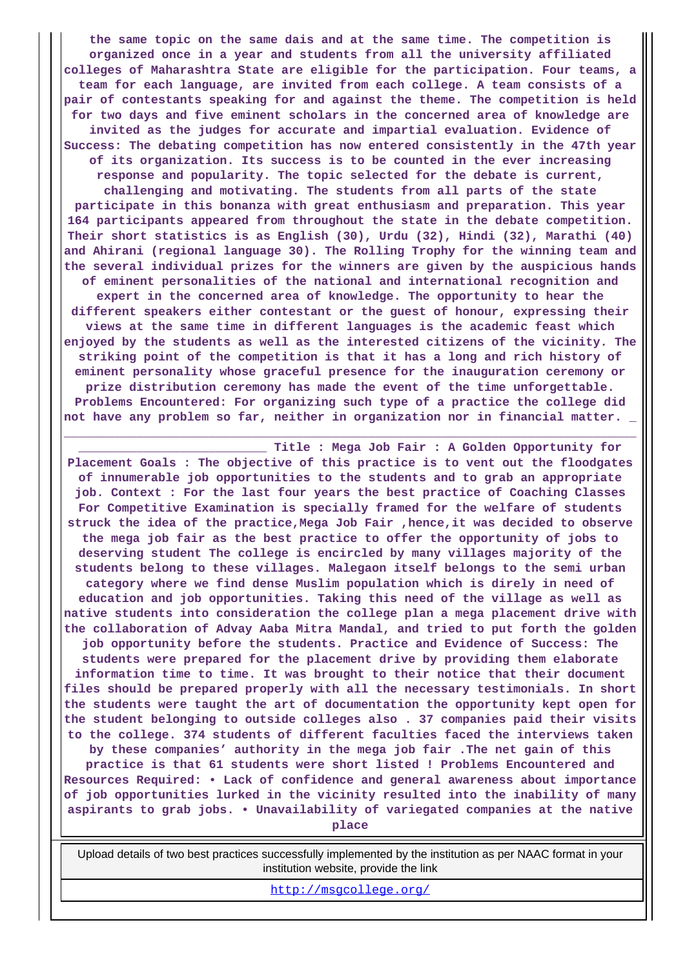**the same topic on the same dais and at the same time. The competition is organized once in a year and students from all the university affiliated colleges of Maharashtra State are eligible for the participation. Four teams, a team for each language, are invited from each college. A team consists of a pair of contestants speaking for and against the theme. The competition is held for two days and five eminent scholars in the concerned area of knowledge are invited as the judges for accurate and impartial evaluation. Evidence of Success: The debating competition has now entered consistently in the 47th year of its organization. Its success is to be counted in the ever increasing response and popularity. The topic selected for the debate is current, challenging and motivating. The students from all parts of the state participate in this bonanza with great enthusiasm and preparation. This year 164 participants appeared from throughout the state in the debate competition. Their short statistics is as English (30), Urdu (32), Hindi (32), Marathi (40) and Ahirani (regional language 30). The Rolling Trophy for the winning team and the several individual prizes for the winners are given by the auspicious hands of eminent personalities of the national and international recognition and expert in the concerned area of knowledge. The opportunity to hear the different speakers either contestant or the guest of honour, expressing their views at the same time in different languages is the academic feast which enjoyed by the students as well as the interested citizens of the vicinity. The striking point of the competition is that it has a long and rich history of eminent personality whose graceful presence for the inauguration ceremony or prize distribution ceremony has made the event of the time unforgettable. Problems Encountered: For organizing such type of a practice the college did not have any problem so far, neither in organization nor in financial matter. \_**

**\_\_\_\_\_\_\_\_\_\_\_\_\_\_\_\_\_\_\_\_\_\_\_\_\_\_ Title : Mega Job Fair : A Golden Opportunity for Placement Goals : The objective of this practice is to vent out the floodgates of innumerable job opportunities to the students and to grab an appropriate job. Context : For the last four years the best practice of Coaching Classes For Competitive Examination is specially framed for the welfare of students struck the idea of the practice,Mega Job Fair ,hence,it was decided to observe the mega job fair as the best practice to offer the opportunity of jobs to deserving student The college is encircled by many villages majority of the students belong to these villages. Malegaon itself belongs to the semi urban category where we find dense Muslim population which is direly in need of education and job opportunities. Taking this need of the village as well as native students into consideration the college plan a mega placement drive with the collaboration of Advay Aaba Mitra Mandal, and tried to put forth the golden job opportunity before the students. Practice and Evidence of Success: The students were prepared for the placement drive by providing them elaborate information time to time. It was brought to their notice that their document files should be prepared properly with all the necessary testimonials. In short the students were taught the art of documentation the opportunity kept open for the student belonging to outside colleges also . 37 companies paid their visits to the college. 374 students of different faculties faced the interviews taken by these companies' authority in the mega job fair .The net gain of this practice is that 61 students were short listed ! Problems Encountered and Resources Required: • Lack of confidence and general awareness about importance of job opportunities lurked in the vicinity resulted into the inability of many aspirants to grab jobs. • Unavailability of variegated companies at the native place**

**\_\_\_\_\_\_\_\_\_\_\_\_\_\_\_\_\_\_\_\_\_\_\_\_\_\_\_\_\_\_\_\_\_\_\_\_\_\_\_\_\_\_\_\_\_\_\_\_\_\_\_\_\_\_\_\_\_\_\_\_\_\_\_\_\_\_\_\_\_\_\_\_\_\_\_\_\_\_\_**

 Upload details of two best practices successfully implemented by the institution as per NAAC format in your institution website, provide the link

<http://msgcollege.org/>